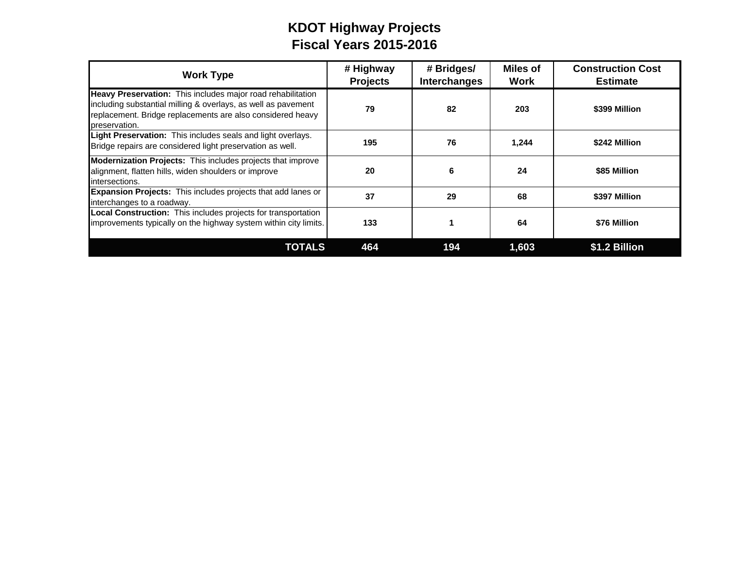# **KDOT Highway Projects Fiscal Years 2015-2016**

| <b>Work Type</b>                                                                                                                                                                                            | # Highway<br><b>Projects</b> | # Bridges/<br><b>Interchanges</b> | <b>Miles of</b><br><b>Work</b> | <b>Construction Cost</b><br><b>Estimate</b> |
|-------------------------------------------------------------------------------------------------------------------------------------------------------------------------------------------------------------|------------------------------|-----------------------------------|--------------------------------|---------------------------------------------|
| Heavy Preservation: This includes major road rehabilitation<br>including substantial milling & overlays, as well as pavement<br>replacement. Bridge replacements are also considered heavy<br>preservation. | 79                           | 82                                | 203                            | \$399 Million                               |
| Light Preservation: This includes seals and light overlays.<br>Bridge repairs are considered light preservation as well.                                                                                    | 195                          | 76                                | 1,244                          | \$242 Million                               |
| Modernization Projects: This includes projects that improve<br>alignment, flatten hills, widen shoulders or improve<br>intersections.                                                                       | 20                           | 6                                 | 24                             | \$85 Million                                |
| <b>Expansion Projects:</b> This includes projects that add lanes or<br>interchanges to a roadway.                                                                                                           | 37                           | 29                                | 68                             | \$397 Million                               |
| Local Construction: This includes projects for transportation<br>improvements typically on the highway system within city limits.                                                                           | 133                          |                                   | 64                             | \$76 Million                                |
| <b>TOTALS</b>                                                                                                                                                                                               | 464                          | 194                               | 1,603                          | \$1.2 Billion                               |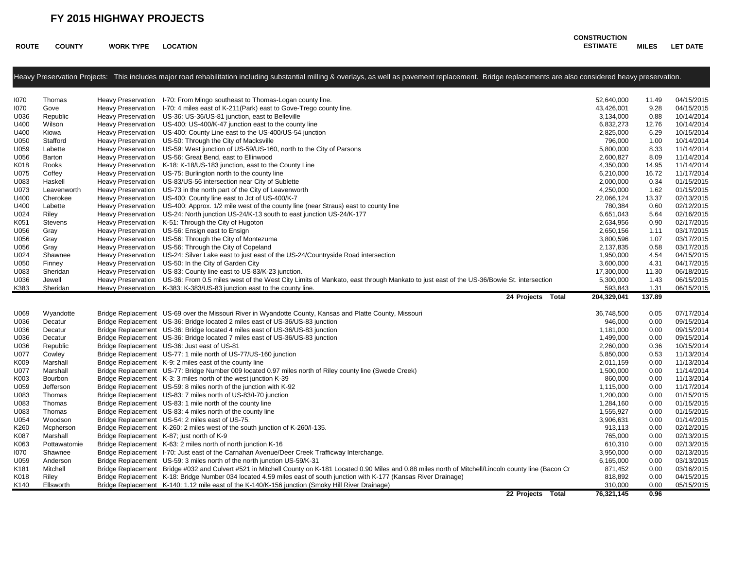**ROUTE COUNTY WORK TYPE LOCATION**

#### **CONSTRUCTION ESTIMATE MILES LET DATE**

|      |                | Heavy Preservation Projects: This includes major road rehabilitation including substantial milling & overlays, as well as pavement replacement. Bridge replacements are also considered heavy preservation. |             |        |            |
|------|----------------|-------------------------------------------------------------------------------------------------------------------------------------------------------------------------------------------------------------|-------------|--------|------------|
| 1070 | Thomas         | Heavy Preservation I-70: From Mingo southeast to Thomas-Logan county line.                                                                                                                                  | 52,640,000  | 11.49  | 04/15/2015 |
| 1070 | Gove           | Heavy Preservation I-70: 4 miles east of K-211 (Park) east to Gove-Trego county line.                                                                                                                       | 43,426,001  | 9.28   | 04/15/2015 |
| U036 | Republic       | Heavy Preservation US-36: US-36/US-81 junction, east to Belleville                                                                                                                                          | 3,134,000   | 0.88   | 10/14/2014 |
| U400 | Wilson         | Heavy Preservation US-400: US-400/K-47 junction east to the county line                                                                                                                                     | 6,832,273   | 12.76  | 10/14/2014 |
| U400 | Kiowa          | Heavy Preservation US-400: County Line east to the US-400/US-54 junction                                                                                                                                    | 2,825,000   | 6.29   | 10/15/2014 |
| U050 | Stafford       | Heavy Preservation US-50: Through the City of Macksville                                                                                                                                                    | 796,000     | 1.00   | 10/14/2014 |
| U059 | Labette        | Heavy Preservation US-59: West junction of US-59/US-160, north to the City of Parsons                                                                                                                       | 5,800,000   | 8.33   | 11/14/2014 |
| U056 | Barton         | Heavy Preservation US-56: Great Bend, east to Ellinwood                                                                                                                                                     | 2,600,827   | 8.09   | 11/14/2014 |
| K018 | Rooks          | Heavy Preservation K-18: K-18/US-183 junction, east to the County Line                                                                                                                                      | 4,350,000   | 14.95  | 11/14/2014 |
| U075 | Coffey         | Heavy Preservation US-75: Burlington north to the county line                                                                                                                                               | 6,210,000   | 16.72  | 11/17/2014 |
| U083 | Haskell        | Heavy Preservation US-83/US-56 intersection near City of Sublette                                                                                                                                           | 2,000,000   | 0.34   | 01/15/2015 |
| U073 | Leavenworth    | Heavy Preservation US-73 in the north part of the City of Leavenworth                                                                                                                                       | 4,250,000   | 1.62   | 01/15/2015 |
| U400 | Cherokee       | Heavy Preservation US-400: County line east to Jct of US-400/K-7                                                                                                                                            | 22,066,124  | 13.37  | 02/13/2015 |
| U400 | Labette        | Heavy Preservation US-400: Approx. 1/2 mile west of the county line (near Straus) east to county line                                                                                                       | 780,384     | 0.60   | 02/12/2015 |
| U024 | Riley          | Heavy Preservation US-24: North junction US-24/K-13 south to east junction US-24/K-177                                                                                                                      | 6,651,043   | 5.64   | 02/16/2015 |
| K051 | <b>Stevens</b> | Heavy Preservation K-51: Through the City of Hugoton                                                                                                                                                        | 2,634,956   | 0.90   | 02/17/2015 |
| U056 | Gray           | Heavy Preservation US-56: Ensign east to Ensign                                                                                                                                                             | 2,650,156   | 1.11   | 03/17/2015 |
| U056 | Gray           | Heavy Preservation US-56: Through the City of Montezuma                                                                                                                                                     | 3,800,596   | 1.07   | 03/17/2015 |
| U056 | Gray           | Heavy Preservation US-56: Through the City of Copeland                                                                                                                                                      | 2,137,835   | 0.58   | 03/17/2015 |
| U024 | Shawnee        | Heavy Preservation US-24: Silver Lake east to just east of the US-24/Countryside Road intersection                                                                                                          | 1,950,000   | 4.54   | 04/15/2015 |
| U050 | Finney         | Heavy Preservation US-50: In the City of Garden City                                                                                                                                                        | 3,600,000   | 4.31   | 04/17/2015 |
| U083 | Sheridan       | Heavy Preservation US-83: County line east to US-83/K-23 junction.                                                                                                                                          | 17,300,000  | 11.30  | 06/18/2015 |
| U036 | Jewell         | Heavy Preservation US-36: From 0.5 miles west of the West City Limits of Mankato, east through Mankato to just east of the US-36/Bowie St. intersection                                                     | 5,300,000   | 1.43   | 06/15/2015 |
| K383 | Sheridan       | Heavy Preservation K-383: K-383/US-83 junction east to the county line.                                                                                                                                     | 593,843     | 1.31   | 06/15/2015 |
|      |                | 24 Projects Total                                                                                                                                                                                           | 204,329,041 | 137.89 |            |
| U069 | Wyandotte      | Bridge Replacement US-69 over the Missouri River in Wyandotte County, Kansas and Platte County, Missouri                                                                                                    | 36,748,500  | 0.05   | 07/17/2014 |
| U036 | Decatur        | Bridge Replacement US-36: Bridge located 2 miles east of US-36/US-83 junction                                                                                                                               | 946,000     | 0.00   | 09/15/2014 |
| J036 | Decatur        | Bridge Replacement US-36: Bridge located 4 miles east of US-36/US-83 junction                                                                                                                               | 1,181,000   | 0.00   | 09/15/2014 |
| U036 | Decatur        | Bridge Replacement US-36: Bridge located 7 miles east of US-36/US-83 junction                                                                                                                               | 1,499,000   | 0.00   | 09/15/2014 |
| U036 | Republic       | Bridge Replacement US-36: Just east of US-81                                                                                                                                                                | 2,260,000   | 0.36   | 10/15/2014 |
| U077 | Cowley         | Bridge Replacement US-77: 1 mile north of US-77/US-160 junction                                                                                                                                             | 5,850,000   | 0.53   | 11/13/2014 |
| K009 | Marshall       | Bridge Replacement K-9: 2 miles east of the county line                                                                                                                                                     | 2,011,159   | 0.00   | 11/13/2014 |
| U077 | Marshall       | Bridge Replacement US-77: Bridge Number 009 located 0.97 miles north of Riley county line (Swede Creek)                                                                                                     | 1,500,000   | 0.00   | 11/14/2014 |
| K003 | Bourbon        | Bridge Replacement K-3: 3 miles north of the west junction K-39                                                                                                                                             | 860,000     | 0.00   | 11/13/2014 |
| U059 | Jefferson      | Bridge Replacement US-59: 8 miles north of the junction with K-92                                                                                                                                           | 1,115,000   | 0.00   | 11/17/2014 |
| U083 | Thomas         | Bridge Replacement US-83: 7 miles north of US-83/I-70 junction                                                                                                                                              | 1,200,000   | 0.00   | 01/15/2015 |
| U083 | Thomas         | Bridge Replacement US-83: 1 mile north of the county line                                                                                                                                                   | 1,284,160   | 0.00   | 01/15/2015 |
| U083 | Thomas         | Bridge Replacement US-83: 4 miles north of the county line                                                                                                                                                  | 1,555,927   | 0.00   | 01/15/2015 |
| U054 | Woodson        | Bridge Replacement US-54: 2 miles east of US-75.                                                                                                                                                            | 3,906,631   | 0.00   | 01/14/2015 |
| K260 | Mcpherson      | Bridge Replacement K-260: 2 miles west of the south junction of K-260/l-135.                                                                                                                                | 913,113     | 0.00   | 02/12/2015 |
| K087 | Marshall       | Bridge Replacement K-87; just north of K-9                                                                                                                                                                  | 765,000     | 0.00   | 02/13/2015 |
| K063 | Pottawatomie   | Bridge Replacement K-63: 2 miles north of north junction K-16                                                                                                                                               | 610,310     | 0.00   | 02/13/2015 |
| 1070 | Shawnee        | Bridge Replacement I-70: Just east of the Carnahan Avenue/Deer Creek Trafficway Interchange.                                                                                                                | 3,950,000   | 0.00   | 02/13/2015 |
| U059 | Anderson       | Bridge Replacement US-59: 3 miles north of the north junction US-59/K-31                                                                                                                                    | 6,165,000   | 0.00   | 03/13/2015 |
| K181 | Mitchell       | Bridge Replacement Bridge #032 and Culvert #521 in Mitchell County on K-181 Located 0.90 Miles and 0.88 miles north of Mitchell/Lincoln county line (Bacon Cr                                               | 871,452     | 0.00   | 03/16/2015 |
| K018 | Riley          | Bridge Replacement K-18: Bridge Number 034 located 4.59 miles east of south junction with K-177 (Kansas River Drainage)                                                                                     | 818,892     | 0.00   | 04/15/2015 |
| K140 | Ellsworth      | Bridge Replacement K-140: 1.12 mile east of the K-140/K-156 junction (Smoky Hill River Drainage)                                                                                                            | 310,000     | 0.00   | 05/15/2015 |

**22 Projects Total 76,321,145 0.96**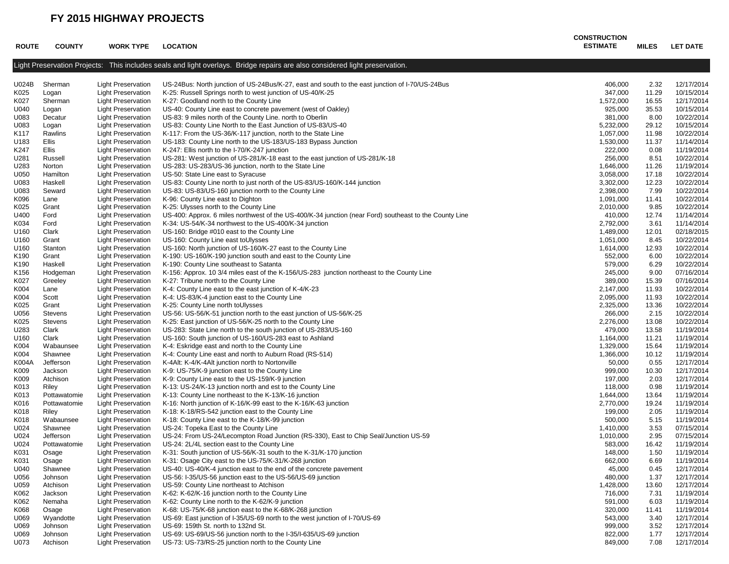| <b>ROUTE</b> | <b>COUNTY</b>                | <b>WORK TYPE</b>                                       | <b>LOCATION</b>                                                                                                             | <b>CONSTRUCTION</b><br><b>ESTIMATE</b> | MILES          | <b>LET DATE</b>          |
|--------------|------------------------------|--------------------------------------------------------|-----------------------------------------------------------------------------------------------------------------------------|----------------------------------------|----------------|--------------------------|
|              |                              |                                                        | Light Preservation Projects: This includes seals and light overlays. Bridge repairs are also considered light preservation. |                                        |                |                          |
| U024B        | Sherman                      | <b>Light Preservation</b>                              | US-24Bus: North junction of US-24Bus/K-27, east and south to the east junction of I-70/US-24Bus                             | 406,000                                | 2.32           | 12/17/2014               |
| K025         | Logan                        | <b>Light Preservation</b>                              | K-25: Russell Springs north to west junction of US-40/K-25                                                                  | 347,000                                | 11.29          | 10/15/2014               |
| K027         | Sherman                      | <b>Light Preservation</b>                              | K-27: Goodland north to the County Line                                                                                     | 1,572,000                              | 16.55          | 12/17/2014               |
| U040         | Logan                        | <b>Light Preservation</b>                              | US-40: County Line east to concrete pavement (west of Oakley)                                                               | 925,000                                | 35.53          | 10/15/2014               |
| U083         | Decatur                      | <b>Light Preservation</b>                              | US-83: 9 miles north of the County Line. north to Oberlin                                                                   | 381,000                                | 8.00           | 10/22/2014               |
| U083         | Logan                        | <b>Light Preservation</b>                              | US-83: County Line North to the East Junction of US-83/US-40                                                                | 5,232,000                              | 29.12          | 10/15/2014               |
| K117         | Rawlins                      | <b>Light Preservation</b>                              | K-117: From the US-36/K-117 junction, north to the State Line                                                               | 1,057,000                              | 11.98          | 10/22/2014               |
| U183         | Ellis                        | <b>Light Preservation</b>                              | US-183: County Line north to the US-183/US-183 Bypass Junction                                                              | 1,530,000                              | 11.37          | 11/14/2014               |
| K247         | Ellis                        | <b>Light Preservation</b>                              | K-247: Ellis north to the I-70/K-247 junction                                                                               | 222,000                                | 0.08           | 11/19/2014               |
| U281         | Russell                      | <b>Light Preservation</b>                              | US-281: West junction of US-281/K-18 east to the east junction of US-281/K-18                                               | 256,000                                | 8.51           | 10/22/2014               |
| U283<br>U050 | Norton                       | <b>Light Preservation</b>                              | US-283: US-283/US-36 junction, north to the State Line<br>US-50: State Line east to Syracuse                                | 1,646,000                              | 11.26<br>17.18 | 11/19/2014<br>10/22/2014 |
| U083         | Hamilton<br>Haskell          | <b>Light Preservation</b><br><b>Light Preservation</b> | US-83: County Line north to just north of the US-83/US-160/K-144 junction                                                   | 3,058,000<br>3,302,000                 | 12.23          | 10/22/2014               |
| U083         | Seward                       | <b>Light Preservation</b>                              | US-83: US-83/US-160 junction north to the County Line                                                                       | 2,398,000                              | 7.99           | 10/22/2014               |
| K096         | Lane                         | <b>Light Preservation</b>                              | K-96: County Line east to Dighton                                                                                           | 1,091,000                              | 11.41          | 10/22/2014               |
| K025         | Grant                        | <b>Light Preservation</b>                              | K-25: Ulysses north to the County Line                                                                                      | 2,010,000                              | 9.85           | 10/22/2014               |
| U400         | Ford                         | <b>Light Preservation</b>                              | US-400: Approx. 6 miles northwest of the US-400/K-34 junction (near Ford) southeast to the County Line                      | 410,000                                | 12.74          | 11/14/2014               |
| K034         | Ford                         | <b>Light Preservation</b>                              | K-34: US-54/K-34 northwest to the US-400/K-34 junction                                                                      | 2,792,000                              | 3.61           | 11/14/2014               |
| U160         | Clark                        | <b>Light Preservation</b>                              | US-160: Bridge #010 east to the County Line                                                                                 | 1,489,000                              | 12.01          | 02/18/2015               |
| U160         | Grant                        | <b>Light Preservation</b>                              | US-160: County Line east toUlysses                                                                                          | 1,051,000                              | 8.45           | 10/22/2014               |
| U160         | Stanton                      | <b>Light Preservation</b>                              | US-160: North junction of US-160/K-27 east to the County Line                                                               | 1,614,000                              | 12.93          | 10/22/2014               |
| K190         | Grant                        | <b>Light Preservation</b>                              | K-190: US-160/K-190 junction south and east to the County Line                                                              | 552,000                                | 6.00           | 10/22/2014               |
| K190         | Haskell                      | <b>Light Preservation</b>                              | K-190: County Line southeast to Satanta                                                                                     | 579,000                                | 6.29           | 10/22/2014               |
| K156         | Hodgeman                     | <b>Light Preservation</b>                              | K-156: Approx. 10 3/4 miles east of the K-156/US-283 junction northeast to the County Line                                  | 245,000                                | 9.00           | 07/16/2014               |
| K027         | Greeley                      | <b>Light Preservation</b>                              | K-27: Tribune north to the County Line                                                                                      | 389,000                                | 15.39          | 07/16/2014               |
| K004         | Lane                         | <b>Light Preservation</b>                              | K-4: County Line east to the east junction of K-4/K-23                                                                      | 2,147,000                              | 11.93          | 10/22/2014               |
| K004         | Scott                        | <b>Light Preservation</b>                              | K-4: US-83/K-4 junction east to the County Line                                                                             | 2,095,000                              | 11.93          | 10/22/2014               |
| K025         | Grant                        | <b>Light Preservation</b>                              | K-25: County Line north toUlysses                                                                                           | 2,325,000                              | 13.36          | 10/22/2014               |
| U056         | Stevens                      | <b>Light Preservation</b>                              | US-56: US-56/K-51 junction north to the east junction of US-56/K-25                                                         | 266,000                                | 2.15           | 10/22/2014               |
| K025         | Stevens                      | <b>Light Preservation</b>                              | K-25: East junction of US-56/K-25 north to the County Line                                                                  | 2,276,000                              | 13.08          | 10/22/2014               |
| U283         | Clark                        | <b>Light Preservation</b>                              | US-283: State Line north to the south junction of US-283/US-160                                                             | 479,000                                | 13.58          | 11/19/2014               |
| U160         | Clark                        | <b>Light Preservation</b>                              | US-160: South junction of US-160/US-283 east to Ashland                                                                     | 1,164,000                              | 11.21          | 11/19/2014               |
| K004         | Wabaunsee                    | <b>Light Preservation</b>                              | K-4: Eskridge east and north to the County Line                                                                             | 1,329,000                              | 15.64          | 11/19/2014               |
| K004         | Shawnee                      | <b>Light Preservation</b>                              | K-4: County Line east and north to Auburn Road (RS-514)                                                                     | 1,366,000                              | 10.12          | 11/19/2014               |
| K004A        | Jefferson                    | <b>Light Preservation</b>                              | K-4Alt: K-4/K-4Alt junction north to Nortonville                                                                            | 50,000                                 | 0.55           | 12/17/2014               |
| K009         | Jackson                      | <b>Light Preservation</b>                              | K-9: US-75/K-9 junction east to the County Line                                                                             | 999,000                                | 10.30          | 12/17/2014               |
| K009         | Atchison                     | <b>Light Preservation</b>                              | K-9: County Line east to the US-159/K-9 junction                                                                            | 197,000                                | 2.03           | 12/17/2014               |
| K013<br>K013 | Riley                        | <b>Light Preservation</b>                              | K-13: US-24/K-13 junction north and est to the County Line                                                                  | 118,000                                | 0.98           | 11/19/2014<br>11/19/2014 |
| K016         | Pottawatomie<br>Pottawatomie | <b>Light Preservation</b>                              | K-13: County Line northeast to the K-13/K-16 junction                                                                       | 1,644,000<br>2,770,000                 | 13.64<br>19.24 | 11/19/2014               |
| K018         | Riley                        | <b>Light Preservation</b><br><b>Light Preservation</b> | K-16: North junction of K-16/K-99 east to the K-16/K-63 junction<br>K-18: K-18/RS-542 junction east to the County Line      | 199,000                                | 2.05           | 11/19/2014               |
| K018         | Wabaunsee                    | <b>Light Preservation</b>                              | K-18: County Line east to the K-18/K-99 junction                                                                            | 500,000                                | 5.15           | 11/19/2014               |
| U024         | Shawnee                      | <b>Light Preservation</b>                              | US-24: Topeka East to the County Line                                                                                       | 1,410,000                              | 3.53           | 07/15/2014               |
| U024         | Jefferson                    | <b>Light Preservation</b>                              | US-24: From US-24/Lecompton Road Junction (RS-330), East to Chip Seal/Junction US-59                                        | 1,010,000                              | 2.95           | 07/15/2014               |
| U024         | Pottawatomie                 | <b>Light Preservation</b>                              | US-24: 2L/4L section east to the County Line                                                                                | 583,000                                | 16.42          | 11/19/2014               |
| K031         | Osage                        | <b>Light Preservation</b>                              | K-31: South junction of US-56/K-31 south to the K-31/K-170 junction                                                         | 148,000                                | 1.50           | 11/19/2014               |
| K031         | Osage                        | <b>Light Preservation</b>                              | K-31: Osage City east to the US-75/K-31/K-268 junction                                                                      | 662,000                                | 6.69           | 11/19/2014               |
| U040         | Shawnee                      | <b>Light Preservation</b>                              | US-40: US-40/K-4 junction east to the end of the concrete pavement                                                          | 45,000                                 | 0.45           | 12/17/2014               |
| U056         | Johnson                      | <b>Light Preservation</b>                              | US-56: I-35/US-56 junction east to the US-56/US-69 junction                                                                 | 480,000                                | 1.37           | 12/17/2014               |
| U059         | Atchison                     | <b>Light Preservation</b>                              | US-59: County Line northeast to Atchison                                                                                    | 1,428,000                              | 13.60          | 12/17/2014               |
| K062         | Jackson                      | <b>Light Preservation</b>                              | K-62: K-62/K-16 junction north to the County Line                                                                           | 716,000                                | 7.31           | 11/19/2014               |
| K062         | Nemaha                       | <b>Light Preservation</b>                              | K-62: County Line north to the K-62/K-9 junction                                                                            | 591,000                                | 6.03           | 11/19/2014               |
| K068         | Osage                        | <b>Light Preservation</b>                              | K-68: US-75/K-68 junction east to the K-68/K-268 junction                                                                   | 320,000                                | 11.41          | 11/19/2014               |
| U069         | Wyandotte                    | <b>Light Preservation</b>                              | US-69: East junction of I-35/US-69 north to the west junction of I-70/US-69                                                 | 543,000                                | 3.40           | 12/17/2014               |
| U069         | Johnson                      | <b>Light Preservation</b>                              | US-69: 159th St. north to 132nd St.                                                                                         | 999,000                                | 3.52           | 12/17/2014               |
| U069         | Johnson                      | <b>Light Preservation</b>                              | US-69: US-69/US-56 junction north to the I-35/I-635/US-69 junction                                                          | 822,000                                | 1.77           | 12/17/2014               |
| U073         | Atchison                     | <b>Light Preservation</b>                              | US-73: US-73/RS-25 junction north to the County Line                                                                        | 849,000                                | 7.08           | 12/17/2014               |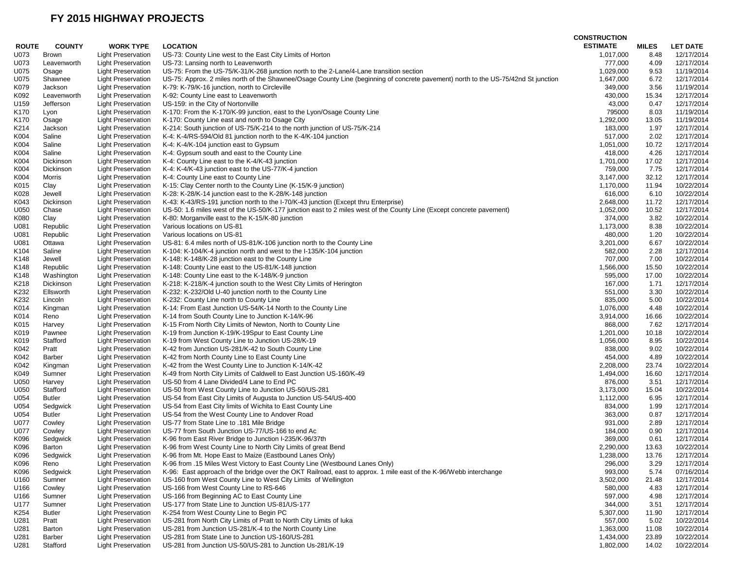|                  |                           |                           |                                                                                                                                    | <b>CONSTRUCTION</b> |              |                 |
|------------------|---------------------------|---------------------------|------------------------------------------------------------------------------------------------------------------------------------|---------------------|--------------|-----------------|
| <b>ROUTE</b>     | <b>COUNTY</b>             | <b>WORK TYPE</b>          | <b>LOCATION</b>                                                                                                                    | <b>ESTIMATE</b>     | <b>MILES</b> | <b>LET DATE</b> |
| U073             | <b>Brown</b>              | <b>Light Preservation</b> | US-73: County Line west to the East City Limits of Horton                                                                          | 1,017,000           | 8.48         | 12/17/2014      |
| U073             | Leavenworth               | <b>Light Preservation</b> | US-73: Lansing north to Leavenworth                                                                                                | 777,000             | 4.09         | 12/17/2014      |
| U075             | Osage                     | <b>Light Preservation</b> | US-75: From the US-75/K-31/K-268 junction north to the 2-Lane/4-Lane transition section                                            | 1,029,000           | 9.53         | 11/19/2014      |
| U075             | Shawnee                   | Light Preservation        | US-75: Approx. 2 miles north of the Shawnee/Osage County Line (beginning of concrete pavement) north to the US-75/42nd St junction | 1,647,000           | 6.72         | 12/17/2014      |
| K079             | Jackson                   | <b>Light Preservation</b> | K-79: K-79/K-16 junction, north to Circleville                                                                                     | 349,000             | 3.56         | 11/19/2014      |
| K092             | Leavenworth               | <b>Light Preservation</b> | K-92: County Line east to Leavenworth                                                                                              | 430,000             | 15.34        | 12/17/2014      |
| U159             | Jefferson                 | <b>Light Preservation</b> | US-159: in the City of Nortonville                                                                                                 | 43,000              | 0.47         | 12/17/2014      |
| K170             | Lyon                      | <b>Light Preservation</b> | K-170: From the K-170/K-99 junction, east to the Lyon/Osage County Line                                                            | 795000              | 8.03         | 11/19/2014      |
| K170             | Osage                     | <b>Light Preservation</b> | K-170: County Line east and north to Osage City                                                                                    | 1,292,000           | 13.05        | 11/19/2014      |
| K214             | Jackson                   | <b>Light Preservation</b> | K-214: South junction of US-75/K-214 to the north junction of US-75/K-214                                                          | 183,000             | 1.97         | 12/17/2014      |
| K004             | Saline                    | <b>Light Preservation</b> | K-4: K-4/RS-594/Old 81 junction north to the K-4/K-104 junction                                                                    | 517,000             | 2.02         | 12/17/2014      |
| K004             | Saline                    | <b>Light Preservation</b> | K-4: K-4/K-104 junction east to Gypsum                                                                                             | 1,051,000           | 10.72        | 12/17/2014      |
| K004             | Saline                    | <b>Light Preservation</b> | K-4: Gypsum south and east to the County Line                                                                                      | 418,000             | 4.26         | 12/17/2014      |
| K004             | Dickinson                 | <b>Light Preservation</b> | K-4: County Line east to the K-4/K-43 junction                                                                                     | 1,701,000           | 17.02        | 12/17/2014      |
| K004             | Dickinson                 | <b>Light Preservation</b> | K-4: K-4/K-43 junction east to the US-77/K-4 junction                                                                              | 759,000             | 7.75         | 12/17/2014      |
| K004             | Morris                    | Light Preservation        | K-4: County Line east to County Line                                                                                               | 3,147,000           | 32.12        | 12/17/2014      |
| K015             | Clay                      | <b>Light Preservation</b> | K-15: Clay Center north to the County Line (K-15/K-9 junction)                                                                     | 1,170,000           | 11.94        | 10/22/2014      |
| K028             | Jewell                    | <b>Light Preservation</b> | K-28: K-28/K-14 junction east to the K-28/K-148 junction                                                                           | 616,000             | 6.10         | 10/22/2014      |
| K043             | Dickinson                 | <b>Light Preservation</b> | K-43: K-43/RS-191 junction north to the I-70/K-43 junction (Except thru Enterprise)                                                | 2,648,000           | 11.72        | 12/17/2014      |
| U050             | Chase                     | <b>Light Preservation</b> | US-50: 1.6 miles west of the US-50/K-177 junction east to 2 miles west of the County Line (Except concrete pavement)               | 1,052,000           | 10.52        | 12/17/2014      |
| K080             | Clay                      | <b>Light Preservation</b> | K-80: Morganville east to the K-15/K-80 junction                                                                                   | 374,000             | 3.82         | 10/22/2014      |
| U081             | Republic                  | <b>Light Preservation</b> | Various locations on US-81                                                                                                         | 1,173,000           | 8.38         | 10/22/2014      |
| U081             | Republic                  | Light Preservation        | Various locations on US-81                                                                                                         | 480,000             | 1.20         | 10/22/2014      |
| U081             | Ottawa                    | <b>Light Preservation</b> | US-81: 6.4 miles north of US-81/K-106 junction north to the County Line                                                            | 3,201,000           | 6.67         | 10/22/2014      |
| K <sub>104</sub> | Saline                    | <b>Light Preservation</b> | K-104: K-104/K-4 junction north and west to the I-135/K-104 junction                                                               | 582,000             | 2.28         | 12/17/2014      |
| K148             | Jewell                    | Light Preservation        | K-148: K-148/K-28 junction east to the County Line                                                                                 | 707,000             | 7.00         | 10/22/2014      |
| K148             | Republic                  | <b>Light Preservation</b> | K-148: County Line east to the US-81/K-148 junction                                                                                | 1,566,000           | 15.50        | 10/22/2014      |
| K148             | Washington                | <b>Light Preservation</b> | K-148: County Line east to the K-148/K-9 junction                                                                                  | 595,000             | 17.00        | 10/22/2014      |
| K218             | Dickinson                 | Light Preservation        | K-218: K-218/K-4 junction south to the West City Limits of Herington                                                               | 167,000             | 1.71         | 12/17/2014      |
| K232             | Ellsworth                 | <b>Light Preservation</b> | K-232: K-232/Old U-40 junction north to the County Line                                                                            | 551,000             | 3.30         | 10/22/2014      |
| K232             | Lincoln                   | <b>Light Preservation</b> | K-232: County Line north to County Line                                                                                            | 835,000             | 5.00         | 10/22/2014      |
| K014             | Kingman                   | <b>Light Preservation</b> | K-14: From East Junction US-54/K-14 North to the County Line                                                                       | 1,076,000           | 4.48         | 10/22/2014      |
| K014             | Reno                      | <b>Light Preservation</b> | K-14 from South County Line to Junction K-14/K-96                                                                                  | 3,914,000           | 16.66        | 10/22/2014      |
| K015             | Harvey                    | <b>Light Preservation</b> | K-15 From North City Limits of Newton, North to County Line                                                                        | 868,000             | 7.62         | 12/17/2014      |
| K019             | Pawnee                    | <b>Light Preservation</b> | K-19 from Junction K-19/K-19Spur to East County Line                                                                               | 1,201,000           | 10.18        | 10/22/2014      |
| K019             | Stafford                  | <b>Light Preservation</b> | K-19 from West County Line to Junction US-28/K-19                                                                                  | 1,056,000           | 8.95         | 10/22/2014      |
| K042             | Pratt                     | <b>Light Preservation</b> | K-42 from Junction US-281/K-42 to South County Line                                                                                | 838,000             | 9.02         | 10/22/2014      |
| K042             | Barber                    | <b>Light Preservation</b> | K-42 from North County Line to East County Line                                                                                    | 454,000             | 4.89         | 10/22/2014      |
| K042             | Kingman                   | <b>Light Preservation</b> | K-42 from the West County Line to Junction K-14/K-42                                                                               | 2,208,000           | 23.74        | 10/22/2014      |
|                  |                           |                           |                                                                                                                                    |                     |              |                 |
| K049             | Sumner                    | <b>Light Preservation</b> | K-49 from North City Limits of Caldwell to East Junction US-160/K-49                                                               | 1,494,000           | 16.60        | 12/17/2014      |
| U050             | Harvey                    | <b>Light Preservation</b> | US-50 from 4 Lane Divided/4 Lane to End PC                                                                                         | 876,000             | 3.51         | 12/17/2014      |
| U050             | Stafford                  | Light Preservation        | US-50 from West County Line to Junction US-50/US-281                                                                               | 3,173,000           | 15.04        | 10/22/2014      |
| U054             | <b>Butler</b>             | <b>Light Preservation</b> | US-54 from East City Limits of Augusta to Junction US-54/US-400                                                                    | 1,112,000           | 6.95         | 12/17/2014      |
| U054<br>U054     | Sedgwick<br><b>Butler</b> | <b>Light Preservation</b> | US-54 from East City limits of Wichita to East County Line<br>US-54 from the West County Line to Andover Road                      | 834,000             | 1.99<br>0.87 | 12/17/2014      |
|                  |                           | Light Preservation        |                                                                                                                                    | 363,000             |              | 12/17/2014      |
| U077             | Cowley                    | <b>Light Preservation</b> | US-77 from State Line to .181 Mile Bridge                                                                                          | 931,000             | 2.89         | 12/17/2014      |
| U077             | Cowley                    | <b>Light Preservation</b> | US-77 from South Junction US-77/US-166 to end Ac                                                                                   | 184,000             | 0.90         | 12/17/2014      |
| K096             | Sedgwick                  | Light Preservation        | K-96 from East River Bridge to Junction I-235/K-96/37th                                                                            | 369,000             | 0.61         | 12/17/2014      |
| K096             | Barton                    | <b>Light Preservation</b> | K-96 from West County Line to North City Limits of great Bend                                                                      | 2,290,000           | 13.63        | 10/22/2014      |
| K096             | Sedgwick                  | <b>Light Preservation</b> | K-96 from Mt. Hope East to Maize (Eastbound Lanes Only)                                                                            | 1,238,000           | 13.76        | 12/17/2014      |
| K096             | Reno                      | <b>Light Preservation</b> | K-96 from .15 Miles West Victory to East County Line (Westbound Lanes Only)                                                        | 296,000             | 3.29         | 12/17/2014      |
| K096             | Sedgwick                  | <b>Light Preservation</b> | K-96: East approach of the bridge over the OKT Railroad, east to approx. 1 mile east of the K-96/Webb interchange                  | 993,000             | 5.74         | 07/16/2014      |
| U160             | Sumner                    | <b>Light Preservation</b> | US-160 from West County Line to West City Limits of Wellington                                                                     | 3,502,000           | 21.48        | 12/17/2014      |
| U166             | Cowley                    | <b>Light Preservation</b> | US-166 from West County Line to RS-646                                                                                             | 580,000             | 4.83         | 12/17/2014      |
| U166             | Sumner                    | <b>Light Preservation</b> | US-166 from Beginning AC to East County Line                                                                                       | 597,000             | 4.98         | 12/17/2014      |
| U177             | Sumner                    | <b>Light Preservation</b> | US-177 from State Line to Junction US-81/US-177                                                                                    | 344,000             | 3.51         | 12/17/2014      |
| K254             | <b>Butler</b>             | <b>Light Preservation</b> | K-254 from West County Line to Begin PC                                                                                            | 5,307,000           | 11.90        | 12/17/2014      |
| U281             | Pratt                     | <b>Light Preservation</b> | US-281 from North City Limits of Pratt to North City Limits of luka                                                                | 557,000             | 5.02         | 10/22/2014      |
| U281             | Barton                    | <b>Light Preservation</b> | US-281 from Junction US-281/K-4 to the North County Line                                                                           | 1,363,000           | 11.08        | 10/22/2014      |
| U281             | Barber                    | <b>Light Preservation</b> | US-281 from State Line to Junction US-160/US-281                                                                                   | 1,434,000           | 23.89        | 10/22/2014      |
| U281             | Stafford                  | <b>Light Preservation</b> | US-281 from Junction US-50/US-281 to Junction Us-281/K-19                                                                          | 1,802,000           | 14.02        | 10/22/2014      |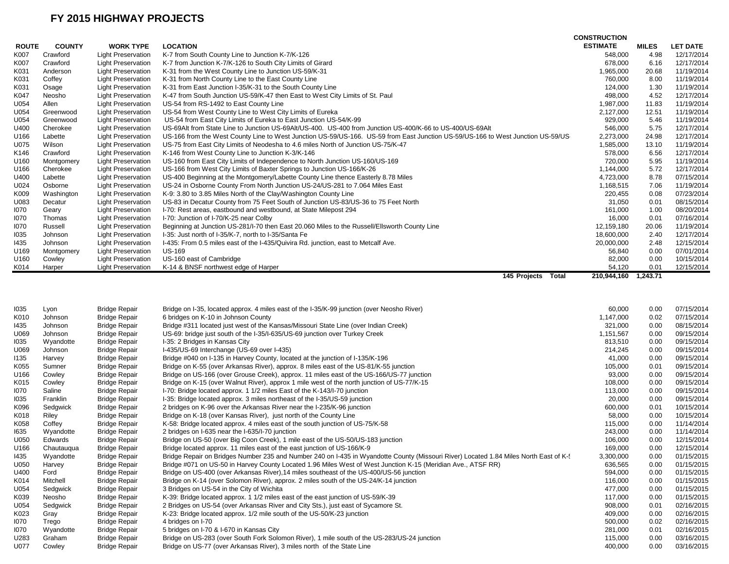|              |               |                           |                                                                                                                                  | <b>CONSTRUCTION</b> |              |                 |
|--------------|---------------|---------------------------|----------------------------------------------------------------------------------------------------------------------------------|---------------------|--------------|-----------------|
| <b>ROUTE</b> | <b>COUNTY</b> | <b>WORK TYPE</b>          | <b>LOCATION</b>                                                                                                                  | <b>ESTIMATE</b>     | <b>MILES</b> | <b>LET DATE</b> |
| K007         | Crawford      | <b>Light Preservation</b> | K-7 from South County Line to Junction K-7/K-126                                                                                 | 548,000             | 4.98         | 12/17/2014      |
| K007         | Crawford      | <b>Light Preservation</b> | K-7 from Junction K-7/K-126 to South City Limits of Girard                                                                       | 678.000             | 6.16         | 12/17/2014      |
| K031         | Anderson      | <b>Light Preservation</b> | K-31 from the West County Line to Junction US-59/K-31                                                                            | 1,965,000           | 20.68        | 11/19/2014      |
| K031         | Coffey        | <b>Light Preservation</b> | K-31 from North County Line to the East County Line                                                                              | 760,000             | 8.00         | 11/19/2014      |
| K031         | Osage         | <b>Light Preservation</b> | K-31 from East Junction I-35/K-31 to the South County Line                                                                       | 124,000             | 1.30         | 11/19/2014      |
| K047         | Neosho        | <b>Light Preservation</b> | K-47 from South Junction US-59/K-47 then East to West City Limits of St. Paul                                                    | 498,000             | 4.52         | 12/17/2014      |
| U054         | Allen         | <b>Light Preservation</b> | US-54 from RS-1492 to East County Line                                                                                           | 1,987,000           | 11.83        | 11/19/2014      |
| U054         | Greenwood     | <b>Light Preservation</b> | US-54 from West County Line to West City Limits of Eureka                                                                        | 2,127,000           | 12.51        | 11/19/2014      |
| U054         | Greenwood     | <b>Light Preservation</b> | US-54 from East City Limits of Eureka to East Junction US-54/K-99                                                                | 929,000             | 5.46         | 11/19/2014      |
| U400         | Cherokee      | <b>Light Preservation</b> | US-69Alt from State Line to Junction US-69Alt/US-400. US-400 from Junction US-400/K-66 to US-400/US-69Alt                        | 546,000             | 5.75         | 12/17/2014      |
| U166         | Labette       | <b>Light Preservation</b> | US-166 from the West County Line to West Junction US-59/US-166. US-59 from East Junction US-59/US-166 to West Junction US-59/US- | 2,273,000           | 24.98        | 12/17/2014      |
| U075         | Wilson        | <b>Light Preservation</b> | US-75 from East City Limits of Neodesha to 4.6 miles North of Junction US-75/K-47                                                | 1,585,000           | 13.10        | 11/19/2014      |
| K146         | Crawford      | <b>Light Preservation</b> | K-146 from West County Line to Junction K-3/K-146                                                                                | 578,000             | 6.56         | 12/17/2014      |
| U160         | Montgomery    | <b>Light Preservation</b> | US-160 from East City Limits of Independence to North Junction US-160/US-169                                                     | 720,000             | 5.95         | 11/19/2014      |
| U166         | Cherokee      | <b>Light Preservation</b> | US-166 from West City Limits of Baxter Springs to Junction US-166/K-26                                                           | 1,144,000           | 5.72         | 12/17/2014      |
| U400         | Labette       | <b>Light Preservation</b> | US-400 Beginning at the Montgomery/Labette County Line thence Easterly 8.78 Miles                                                | 4,723,000           | 8.78         | 07/15/2014      |
| U024         | Osborne       | <b>Light Preservation</b> | US-24 in Osborne County From North Junction US-24/US-281 to 7.064 Miles East                                                     | 1,168,515           | 7.06         | 11/19/2014      |
| K009         | Washington    | <b>Light Preservation</b> | K-9: 3.80 to 3.85 Miles North of the Clay/Washington County Line                                                                 | 220,455             | 0.08         | 07/23/2014      |
| U083         | Decatur       | <b>Light Preservation</b> | US-83 in Decatur County from 75 Feet South of Junction US-83/US-36 to 75 Feet North                                              | 31,050              | 0.01         | 08/15/2014      |
| 1070         | Geary         | <b>Light Preservation</b> | I-70: Rest areas, eastbound and westbound, at State Milepost 294                                                                 | 161,000             | 1.00         | 08/20/2014      |
| 1070         | Thomas        | <b>Light Preservation</b> | I-70: Junction of I-70/K-25 near Colby                                                                                           | 16,000              | 0.01         | 07/16/2014      |
| 1070         | Russell       | <b>Light Preservation</b> | Beginning at Junction US-281/I-70 then East 20.060 Miles to the Russell/Ellsworth County Line                                    | 12,159,180          | 20.06        | 11/19/2014      |
| 1035         | Johnson       | <b>Light Preservation</b> | I-35: Just north of I-35/K-7, north to I-35/Santa Fe                                                                             | 18,600,000          | 2.40         | 12/17/2014      |
| 1435         | Johnson       | <b>Light Preservation</b> | I-435: From 0.5 miles east of the I-435/Quivira Rd. junction, east to Metcalf Ave.                                               | 20,000,000          | 2.48         | 12/15/2014      |
| U169         | Montgomery    | <b>Light Preservation</b> | <b>US-169</b>                                                                                                                    | 56,840              | 0.00         | 07/01/2014      |
| U160         | Cowley        | <b>Light Preservation</b> | US-160 east of Cambridge                                                                                                         | 82,000              | 0.00         | 10/15/2014      |
| K014         | Harper        | <b>Light Preservation</b> | K-14 & BNSF northwest edge of Harper                                                                                             | 54,120              | 0.01         | 12/15/2014      |
|              |               |                           | 145 Projects<br>Total                                                                                                            | 210.944.160         | 1.243.71     |                 |

| 1035 | Lyon       | <b>Bridge Repair</b> | Bridge on I-35, located approx. 4 miles east of the I-35/K-99 junction (over Neosho River)                                           | 60,000    | 0.00 | 07/15/2014 |
|------|------------|----------------------|--------------------------------------------------------------------------------------------------------------------------------------|-----------|------|------------|
| K010 | Johnson    | <b>Bridge Repair</b> | 6 bridges on K-10 in Johnson County                                                                                                  | 1,147,000 | 0.02 | 07/15/2014 |
| 1435 | Johnson    | <b>Bridge Repair</b> | Bridge #311 located just west of the Kansas/Missouri State Line (over Indian Creek)                                                  | 321,000   | 0.00 | 08/15/2014 |
| U069 | Johnson    | <b>Bridge Repair</b> | US-69: bridge just south of the I-35/I-635/US-69 junction over Turkey Creek                                                          | 1,151,567 | 0.00 | 09/15/2014 |
| 1035 | Wyandotte  | <b>Bridge Repair</b> | I-35: 2 Bridges in Kansas City                                                                                                       | 813,510   | 0.00 | 09/15/2014 |
| U069 | Johnson    | <b>Bridge Repair</b> | I-435/US-69 Interchange (US-69 over I-435)                                                                                           | 214,245   | 0.00 | 09/15/2014 |
| 1135 | Harvey     | <b>Bridge Repair</b> | Bridge #040 on I-135 in Harvey County, located at the junction of I-135/K-196                                                        | 41,000    | 0.00 | 09/15/2014 |
| K055 | Sumner     | <b>Bridge Repair</b> | Bridge on K-55 (over Arkansas River), approx. 8 miles east of the US-81/K-55 junction                                                | 105,000   | 0.01 | 09/15/2014 |
| U166 | Cowley     | <b>Bridge Repair</b> | Bridge on US-166 (over Grouse Creek), approx. 11 miles east of the US-166/US-77 junction                                             | 93,000    | 0.00 | 09/15/2014 |
| K015 | Cowley     | <b>Bridge Repair</b> | Bridge on K-15 (over Walnut River), approx 1 mile west of the north junction of US-77/K-15                                           | 108,000   | 0.00 | 09/15/2014 |
| 1070 | Saline     | <b>Bridge Repair</b> | I-70: Bridge located approx. 1 1/2 miles East of the K-143/I-70 junction                                                             | 113,000   | 0.00 | 09/15/2014 |
| 1035 | Franklin   | <b>Bridge Repair</b> | I-35: Bridge located approx. 3 miles northeast of the I-35/US-59 junction                                                            | 20,000    | 0.00 | 09/15/2014 |
| K096 | Sedgwick   | <b>Bridge Repair</b> | 2 bridges on K-96 over the Arkansas River near the I-235/K-96 junction                                                               | 600,000   | 0.01 | 10/15/2014 |
| K018 | Riley      | <b>Bridge Repair</b> | Bridge on K-18 (over Kansas River), just north of the County Line                                                                    | 58,000    | 0.00 | 10/15/2014 |
| K058 | Coffey     | <b>Bridge Repair</b> | K-58: Bridge located approx. 4 miles east of the south junction of US-75/K-58                                                        | 115,000   | 0.00 | 11/14/2014 |
| 1635 | Wyandotte  | <b>Bridge Repair</b> | 2 bridges on I-635 near the I-635/I-70 junction                                                                                      | 243,000   | 0.00 | 11/14/2014 |
| U050 | Edwards    | <b>Bridge Repair</b> | Bridge on US-50 (over Big Coon Creek), 1 mile east of the US-50/US-183 junction                                                      | 106,000   | 0.00 | 12/15/2014 |
| U166 | Chautaugua | <b>Bridge Repair</b> | Bridge located approx. 11 miles east of the east junction of US-166/K-9                                                              | 169,000   | 0.00 | 12/15/2014 |
| 1435 | Wyandotte  | <b>Bridge Repair</b> | Bridge Repair on Bridges Number 235 and Number 240 on I-435 in Wyandotte County (Missouri River) Located 1.84 Miles North East of K- | 3,300,000 | 0.00 | 01/15/2015 |
| U050 | Harvey     | <b>Bridge Repair</b> | Bridge #071 on US-50 in Harvey County Located 1.96 Miles West of West Junction K-15 (Meridian Ave., ATSF RR)                         | 636,565   | 0.00 | 01/15/2015 |
| U400 | Ford       | <b>Bridge Repair</b> | Bridge on US-400 (over Arkansas River), 14 miles southeast of the US-400/US-56 junction                                              | 594,000   | 0.00 | 01/15/2015 |
| K014 | Mitchell   | <b>Bridge Repair</b> | Bridge on K-14 (over Solomon River), approx. 2 miles south of the US-24/K-14 junction                                                | 116,000   | 0.00 | 01/15/2015 |
| U054 | Sedgwick   | <b>Bridge Repair</b> | 3 Bridges on US-54 in the City of Wichita                                                                                            | 477.000   | 0.00 | 01/15/2015 |
| K039 | Neosho     | <b>Bridge Repair</b> | K-39: Bridge located approx. 1 1/2 miles east of the east junction of US-59/K-39                                                     | 117.000   | 0.00 | 01/15/2015 |
| U054 | Sedgwick   | <b>Bridge Repair</b> | 2 Bridges on US-54 (over Arkansas River and City Sts.), just east of Sycamore St.                                                    | 908,000   | 0.01 | 02/16/2015 |
| K023 | Gray       | <b>Bridge Repair</b> | K-23: Bridge located approx. 1/2 mile south of the US-50/K-23 junction                                                               | 409,000   | 0.00 | 02/16/2015 |
| 1070 | Trego      | <b>Bridge Repair</b> | 4 bridges on I-70                                                                                                                    | 500,000   | 0.02 | 02/16/2015 |
| 1070 | Wyandotte  | <b>Bridge Repair</b> | 5 bridges on I-70 & I-670 in Kansas City                                                                                             | 281,000   | 0.01 | 02/16/2015 |
| U283 | Graham     | <b>Bridge Repair</b> | Bridge on US-283 (over South Fork Solomon River), 1 mile south of the US-283/US-24 junction                                          | 115,000   | 0.00 | 03/16/2015 |
| U077 | Cowley     | <b>Bridge Repair</b> | Bridge on US-77 (over Arkansas River), 3 miles north of the State Line                                                               | 400.000   | 0.00 | 03/16/2015 |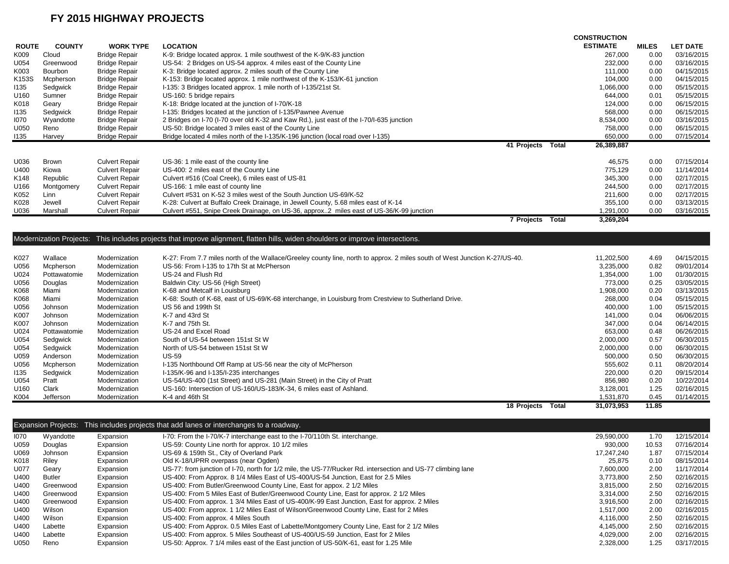|                  |                |                       |                                                                                                                                 | <b>CONSTRUCTION</b> |              |                 |
|------------------|----------------|-----------------------|---------------------------------------------------------------------------------------------------------------------------------|---------------------|--------------|-----------------|
| <b>ROUTE</b>     | <b>COUNTY</b>  | <b>WORK TYPE</b>      | <b>LOCATION</b>                                                                                                                 | <b>ESTIMATE</b>     | <b>MILES</b> | <b>LET DATE</b> |
| K009             | Cloud          | <b>Bridge Repair</b>  | K-9: Bridge located approx. 1 mile southwest of the K-9/K-83 junction                                                           | 267,000             | 0.00         | 03/16/2015      |
| U054             | Greenwood      | <b>Bridge Repair</b>  | US-54: 2 Bridges on US-54 approx. 4 miles east of the County Line                                                               | 232,000             | 0.00         | 03/16/2015      |
| K003             | <b>Bourbon</b> | <b>Bridge Repair</b>  | K-3: Bridge located approx. 2 miles south of the County Line                                                                    | 111,000             | 0.00         | 04/15/2015      |
| K153S            | Mcpherson      | <b>Bridge Repair</b>  | K-153: Bridge located approx. 1 mile northwest of the K-153/K-61 junction                                                       | 104,000             | 0.00         | 04/15/2015      |
| 1135             | Sedgwick       | <b>Bridge Repair</b>  | I-135: 3 Bridges located approx. 1 mile north of I-135/21st St.                                                                 | 1,066,000           | 0.00         | 05/15/2015      |
| U <sub>160</sub> | Sumner         | <b>Bridge Repair</b>  | US-160: 5 bridge repairs                                                                                                        | 644.000             | 0.01         | 05/15/2015      |
| K018             | Geary          | <b>Bridge Repair</b>  | K-18: Bridge located at the junction of I-70/K-18                                                                               | 124,000             | 0.00         | 06/15/2015      |
| 1135             | Sedgwick       | <b>Bridge Repair</b>  | I-135: Bridges located at the junction of I-135/Pawnee Avenue                                                                   | 568,000             | 0.00         | 06/15/2015      |
| 1070             | Wyandotte      | <b>Bridge Repair</b>  | 2 Bridges on I-70 (I-70 over old K-32 and Kaw Rd.), just east of the I-70/I-635 junction                                        | 8,534,000           | 0.00         | 03/16/2015      |
| U050             | Reno           | <b>Bridge Repair</b>  | US-50: Bridge located 3 miles east of the County Line                                                                           | 758,000             | 0.00         | 06/15/2015      |
| 1135             | Harvey         | <b>Bridge Repair</b>  | Bridge located 4 miles north of the I-135/K-196 junction (local road over I-135)                                                | 650,000             | 0.00         | 07/15/2014      |
|                  |                |                       | 41 Projects<br><b>Total</b>                                                                                                     | 26,389,887          |              |                 |
| U036             | <b>Brown</b>   | <b>Culvert Repair</b> | US-36: 1 mile east of the county line                                                                                           | 46,575              | 0.00         | 07/15/2014      |
| U400             | Kiowa          | <b>Culvert Repair</b> | US-400: 2 miles east of the County Line                                                                                         | 775,129             | 0.00         | 11/14/2014      |
| K148             | Republic       | <b>Culvert Repair</b> | Culvert #516 (Coal Creek), 6 miles east of US-81                                                                                | 345,300             | 0.00         | 02/17/2015      |
| U166             | Montgomery     | <b>Culvert Repair</b> | US-166: 1 mile east of county line                                                                                              | 244,500             | 0.00         | 02/17/2015      |
| K052             | Linn           | <b>Culvert Repair</b> | Culvert #531 on K-52 3 miles west of the South Junction US-69/K-52                                                              | 211,600             | 0.00         | 02/17/2015      |
| K028             | Jewell         | <b>Culvert Repair</b> | K-28: Culvert at Buffalo Creek Drainage, in Jewell County, 5.68 miles east of K-14                                              | 355,100             | 0.00         | 03/13/2015      |
| U036             | Marshall       | <b>Culvert Repair</b> | Culvert #551, Snipe Creek Drainage, on US-36, approx2 miles east of US-36/K-99 junction                                         | 1,291,000           | 0.00         | 03/16/2015      |
|                  |                |                       | 7 Projects Total                                                                                                                | 3,269,204           |              |                 |
|                  |                |                       |                                                                                                                                 |                     |              |                 |
|                  |                |                       | Modernization Projects: This includes projects that improve alignment, flatten hills, widen shoulders or improve intersections. |                     |              |                 |
| K027             | Wallace        | Modernization         | K-27: From 7.7 miles north of the Wallace/Greeley county line, north to approx. 2 miles south of West Junction K-27/US-40.      | 11,202,500          | 4.69         | 04/15/2015      |
| U056             | Mcpherson      | Modernization         | US-56: From I-135 to 17th St at McPherson                                                                                       | 3,235,000           | 0.82         | 09/01/2014      |
| U024             | Pottawatomie   | Modernization         | US-24 and Flush Rd                                                                                                              | 1,354,000           | 1.00         | 01/30/2015      |
| U056             | Douglas        | Modernization         | Baldwin City: US-56 (High Street)                                                                                               | 773.000             | 0.25         | 03/05/2015      |
| K068             | Miami          | Modernization         | K-68 and Metcalf in Louisburg                                                                                                   | 1,908,000           | 0.20         | 03/13/2015      |
| K068             | Miami          | Modernization         | K-68: South of K-68, east of US-69/K-68 interchange, in Louisburg from Crestview to Sutherland Drive.                           | 268,000             | 0.04         | 05/15/2015      |
| U056             | Johnson        | Modernization         | US 56 and 199th St                                                                                                              | 400,000             | 1.00         | 05/15/2015      |
| K007             | Johnson        | Modernization         | K-7 and 43rd St                                                                                                                 | 141,000             | 0.04         | 06/06/2015      |
| K007             | Johnson        | Modernization         | K-7 and 75th St.                                                                                                                | 347,000             | 0.04         | 06/14/2015      |
| U024             | Pottawatomie   | Modernization         | US-24 and Excel Road                                                                                                            | 653,000             | 0.48         | 06/26/2015      |
| U054             | Sedgwick       | Modernization         | South of US-54 between 151st St W                                                                                               | 2,000,000           | 0.57         | 06/30/2015      |
| U054             | Sedgwick       | Modernization         | North of US-54 between 151st St W                                                                                               | 2,000,000           | 0.00         | 06/30/2015      |
| U059             | Anderson       | Modernization         | <b>US-59</b>                                                                                                                    | 500,000             | 0.50         | 06/30/2015      |
| U056             | Mcpherson      | Modernization         | I-135 Northbound Off Ramp at US-56 near the city of McPherson                                                                   | 555,602             | 0.11         | 08/20/2014      |
| 1135             | Sedgwick       | Modernization         | I-135/K-96 and I-135/I-235 interchanges                                                                                         | 220,000             | 0.20         | 09/15/2014      |
| U054             | Pratt          | Modernization         | US-54/US-400 (1st Street) and US-281 (Main Street) in the City of Pratt                                                         | 856,980             | 0.20         | 10/22/2014      |
| U160             | Clark          | Modernization         | US-160: Intersection of US-160/US-183/K-34, 6 miles east of Ashland.                                                            | 3,128,001           | 1.25         | 02/16/2015      |
| K004             | Jefferson      | Modernization         | K-4 and 46th St                                                                                                                 | 1,531,870           | 0.45         | 01/14/2015      |
|                  |                |                       | 18 Projects Total                                                                                                               | 31,073,953          | 11.85        |                 |

|      |               |           | Expansion Projects: This includes projects that add lanes or interchanges to a roadway.                     |            |       |            |
|------|---------------|-----------|-------------------------------------------------------------------------------------------------------------|------------|-------|------------|
| 1070 | Wyandotte     | Expansion | I-70: From the I-70/K-7 interchange east to the I-70/110th St. interchange.                                 | 29,590,000 | 1.70  | 12/15/2014 |
| U059 | Douglas       | Expansion | US-59: County Line north for approx. 10 1/2 miles                                                           | 930,000    | 10.53 | 07/16/2014 |
| U069 | Johnson       | Expansion | US-69 & 159th St., City of Overland Park                                                                    | 17.247.240 | 1.87  | 07/15/2014 |
| K018 | Riley         | Expansion | Old K-18/UPRR overpass (near Ogden)                                                                         | 25.875     | 0.10  | 08/15/2014 |
| U077 | Geary         | Expansion | US-77: from junction of I-70, north for 1/2 mile, the US-77/Rucker Rd. intersection and US-77 climbing lane | 7.600.000  | 2.00  | 11/17/2014 |
| U400 | <b>Butler</b> | Expansion | US-400: From Approx. 8 1/4 Miles East of US-400/US-54 Junction, East for 2.5 Miles                          | 3.773.800  | 2.50  | 02/16/2015 |
| U400 | Greenwood     | Expansion | US-400: From Butler/Greenwood County Line, East for appox. 2 1/2 Miles                                      | 3.815.000  | 2.50  | 02/16/2015 |
| U400 | Greenwood     | Expansion | US-400: From 5 Miles East of Butler/Greenwood County Line, East for approx. 2 1/2 Miles                     | 3,314,000  | 2.50  | 02/16/2015 |
| U400 | Greenwood     | Expansion | US-400: From approx. 1 3/4 Miles East of US-400/K-99 East Junction, East for approx. 2 Miles                | 3.916.500  | 2.00  | 02/16/2015 |
| U400 | Wilson        | Expansion | US-400: From approx. 1 1/2 Miles East of Wilson/Greenwood County Line, East for 2 Miles                     | 1.517.000  | 2.00  | 02/16/2015 |
| U400 | Wilson        | Expansion | US-400: From approx. 4 Miles South                                                                          | 4,116,000  | 2.50  | 02/16/2015 |
| U400 | Labette       | Expansion | US-400: From Approx. 0.5 Miles East of Labette/Montgomery County Line, East for 2 1/2 Miles                 | 4.145.000  | 2.50  | 02/16/2015 |
| U400 | Labette       | Expansion | US-400: From approx. 5 Miles Southeast of US-400/US-59 Junction, East for 2 Miles                           | 4.029.000  | 2.00  | 02/16/2015 |
| U050 | Reno          | Expansion | US-50: Approx. 7 1/4 miles east of the East junction of US-50/K-61, east for 1.25 Mile                      | 2,328,000  | 1.25  | 03/17/2015 |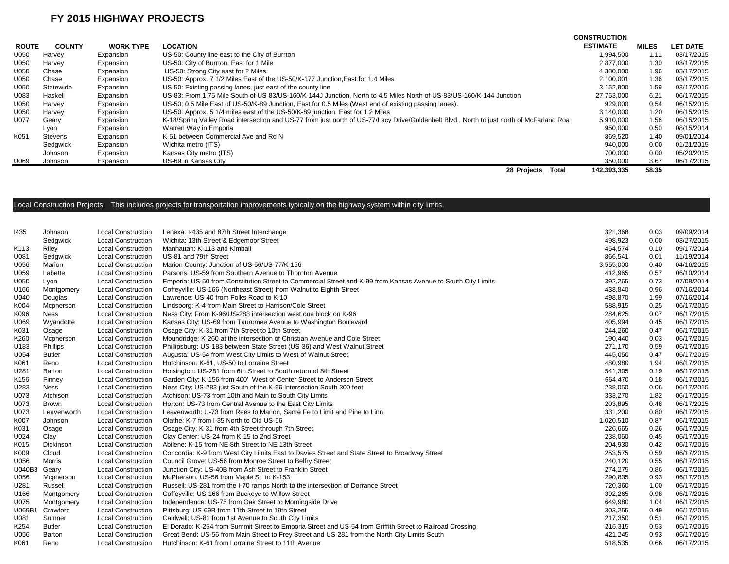|              |               |                  |                                                                                                                                           | <b>CONSTRUCTION</b> |              |                 |
|--------------|---------------|------------------|-------------------------------------------------------------------------------------------------------------------------------------------|---------------------|--------------|-----------------|
| <b>ROUTE</b> | <b>COUNTY</b> | <b>WORK TYPE</b> | <b>LOCATION</b>                                                                                                                           | <b>ESTIMATE</b>     | <b>MILES</b> | <b>LET DATE</b> |
| U050         | Harvev        | Expansion        | US-50: County line east to the City of Burrton                                                                                            | 1.994.500           | 1.11         | 03/17/2015      |
| U050         | Harvey        | Expansion        | US-50: City of Burrton, East for 1 Mile                                                                                                   | 2.877.000           | 1.30         | 03/17/2015      |
| U050         | Chase         | Expansion        | US-50: Strong City east for 2 Miles                                                                                                       | 4.380.000           | 1.96         | 03/17/2015      |
| U050         | Chase         | Expansion        | US-50: Approx. 7 1/2 Miles East of the US-50/K-177 Junction, East for 1.4 Miles                                                           | 2.100.001           | 1.36         | 03/17/2015      |
| U050         | Statewide     | Expansion        | US-50: Existing passing lanes, just east of the county line                                                                               | 3.152.900           | 1.59         | 03/17/2015      |
| U083         | Haskell       | Expansion        | US-83: From 1.75 Mile South of US-83/US-160/K-144J Junction, North to 4.5 Miles North of US-83/US-160/K-144 Junction                      | 27,753,000          | 6.21         | 06/17/2015      |
| U050         | Harvey        | Expansion        | US-50: 0.5 Mile East of US-50/K-89 Junction, East for 0.5 Miles (West end of existing passing lanes).                                     | 929,000             | 0.54         | 06/15/2015      |
| U050         | Harvey        | Expansion        | US-50: Approx. 5 1/4 miles east of the US-50/K-89 junction, East for 1.2 Miles                                                            | 3.140.000           | 1.20         | 06/15/2015      |
| U077         | Geary         | Expansion        | K-18/Spring Valley Road intersection and US-77 from just north of US-77/Lacy Drive/Goldenbelt Blvd., North to just north of McFarland Roa | 5,910,000           | 1.56         | 06/15/2015      |
|              | Lyon          | Expansion        | Warren Way in Emporia                                                                                                                     | 950,000             | 0.50         | 08/15/2014      |
| K051         | Stevens       | Expansion        | K-51 between Commercial Ave and Rd N                                                                                                      | 869,520             | 1.40         | 09/01/2014      |
|              | Sedgwick      | Expansion        | Wichita metro (ITS)                                                                                                                       | 940,000             | 0.00         | 01/21/2015      |
|              | Johnson       | Expansion        | Kansas City metro (ITS)                                                                                                                   | 700.000             | 0.00         | 05/20/2015      |
| U069         | Johnson       | Expansion        | US-69 in Kansas City                                                                                                                      | 350,000             | 3.67         | 06/17/2015      |
|              |               |                  | 28 Projects<br>Total                                                                                                                      | 142.393.335         | 58.35        |                 |

#### Local Construction Projects: This includes projects for transportation improvements typically on the highway system within city limits.

| 1435             | Johnson          | <b>Local Construction</b> | Lenexa: I-435 and 87th Street Interchange                                                                     | 321,368   | 0.03 | 09/09/2014 |
|------------------|------------------|---------------------------|---------------------------------------------------------------------------------------------------------------|-----------|------|------------|
|                  | Sedgwick         | <b>Local Construction</b> | Wichita: 13th Street & Edgemoor Street                                                                        | 498,923   | 0.00 | 03/27/2015 |
| K113             | Riley            | <b>Local Construction</b> | Manhattan: K-113 and Kimball                                                                                  | 454,574   | 0.10 | 09/17/2014 |
| U081             | Sedgwick         | <b>Local Construction</b> | US-81 and 79th Street                                                                                         | 866,541   | 0.01 | 11/19/2014 |
| U056             | Marion           | <b>Local Construction</b> | Marion County: Junction of US-56/US-77/K-156                                                                  | 3,555,000 | 0.40 | 04/16/2015 |
| U059             | Labette          | <b>Local Construction</b> | Parsons: US-59 from Southern Avenue to Thornton Avenue                                                        | 412,965   | 0.57 | 06/10/2014 |
| U050             | Lyon             | <b>Local Construction</b> | Emporia: US-50 from Constitution Street to Commercial Street and K-99 from Kansas Avenue to South City Limits | 392,265   | 0.73 | 07/08/2014 |
| U166             | Montgomery       | <b>Local Construction</b> | Coffeyville: US-166 (Northeast Street) from Walnut to Eighth Street                                           | 438,840   | 0.96 | 07/16/2014 |
| U040             | Douglas          | <b>Local Construction</b> | Lawrence: US-40 from Folks Road to K-10                                                                       | 498,870   | 1.99 | 07/16/2014 |
| K004             | Mcpherson        | <b>Local Construction</b> | Lindsborg: K-4 from Main Street to Harrison/Cole Street                                                       | 588,915   | 0.25 | 06/17/2015 |
| K096             | <b>Ness</b>      | <b>Local Construction</b> | Ness City: From K-96/US-283 intersection west one block on K-96                                               | 284,625   | 0.07 | 06/17/2015 |
| U069             | Wyandotte        | <b>Local Construction</b> | Kansas City: US-69 from Tauromee Avenue to Washington Boulevard                                               | 405,994   | 0.45 | 06/17/2015 |
| K031             | Osage            | <b>Local Construction</b> | Osage City: K-31 from 7th Street to 10th Street                                                               | 244,260   | 0.47 | 06/17/2015 |
| K260             | Mcpherson        | <b>Local Construction</b> | Moundridge: K-260 at the intersection of Christian Avenue and Cole Street                                     | 190,440   | 0.03 | 06/17/2015 |
| U183             | Phillips         | <b>Local Construction</b> | Phillipsburg: US-183 between State Street (US-36) and West Walnut Street                                      | 271,170   | 0.59 | 06/17/2015 |
| U054             | <b>Butler</b>    | <b>Local Construction</b> | Augusta: US-54 from West City Limits to West of Walnut Street                                                 | 445,050   | 0.47 | 06/17/2015 |
| K061             | Reno             | <b>Local Construction</b> | Hutchinson: K-61, US-50 to Lorraine Street                                                                    | 480,980   | 1.94 | 06/17/2015 |
| U281             | Barton           | <b>Local Construction</b> | Hoisington: US-281 from 6th Street to South return of 8th Street                                              | 541,305   | 0.19 | 06/17/2015 |
| K <sub>156</sub> | Finney           | <b>Local Construction</b> | Garden City: K-156 from 400' West of Center Street to Anderson Street                                         | 664,470   | 0.18 | 06/17/2015 |
| U283             | Ness             | <b>Local Construction</b> | Ness City: US-283 just South of the K-96 Intersection South 300 feet                                          | 238,050   | 0.06 | 06/17/2015 |
| U073             | Atchison         | <b>Local Construction</b> | Atchison: US-73 from 10th and Main to South City Limits                                                       | 333,270   | 1.82 | 06/17/2015 |
| U073             | <b>Brown</b>     | <b>Local Construction</b> | Horton: US-73 from Central Avenue to the East City Limits                                                     | 203,895   | 0.48 | 06/17/2015 |
| U073             | Leavenworth      | <b>Local Construction</b> | Leavenworth: U-73 from Rees to Marion, Sante Fe to Limit and Pine to Linn                                     | 331,200   | 0.80 | 06/17/2015 |
| K007             | Johnson          | <b>Local Construction</b> | Olathe: K-7 from I-35 North to Old US-56                                                                      | 1,020,510 | 0.87 | 06/17/2015 |
| K031             | Osage            | <b>Local Construction</b> | Osage City: K-31 from 4th Street through 7th Street                                                           | 226,665   | 0.26 | 06/17/2015 |
| U024             | Clay             | <b>Local Construction</b> | Clay Center: US-24 from K-15 to 2nd Street                                                                    | 238,050   | 0.45 | 06/17/2015 |
| K015             | <b>Dickinson</b> | <b>Local Construction</b> | Abilene: K-15 from NE 8th Street to NE 13th Street                                                            | 204,930   | 0.42 | 06/17/2015 |
| K009             | Cloud            | <b>Local Construction</b> | Concordia: K-9 from West City Limits East to Davies Street and State Street to Broadway Street                | 253,575   | 0.59 | 06/17/2015 |
| U056             | <b>Morris</b>    | <b>Local Construction</b> | Council Grove: US-56 from Monroe Street to Belfry Street                                                      | 240,120   | 0.55 | 06/17/2015 |
| U040B3           | Geary            | <b>Local Construction</b> | Junction City: US-40B from Ash Street to Franklin Street                                                      | 274,275   | 0.86 | 06/17/2015 |
| U056             | Mcpherson        | <b>Local Construction</b> | McPherson: US-56 from Maple St. to K-153                                                                      | 290,835   | 0.93 | 06/17/2015 |
| U281             | Russell          | <b>Local Construction</b> | Russell: US-281 from the I-70 ramps North to the intersection of Dorrance Street                              | 720,360   | 1.00 | 06/17/2015 |
| U166             | Montgomery       | <b>Local Construction</b> | Coffeyville: US-166 from Buckeye to Willow Street                                                             | 392,265   | 0.98 | 06/17/2015 |
| U075             | Montgomery       | <b>Local Construction</b> | Independence: US-75 from Oak Street to Morningside Drive                                                      | 649,980   | 1.04 | 06/17/2015 |
| U069B1           | Crawford         | <b>Local Construction</b> | Pittsburg: US-69B from 11th Street to 19th Street                                                             | 303,255   | 0.49 | 06/17/2015 |
| U081             | Sumner           | <b>Local Construction</b> | Caldwell: US-81 from 1st Avenue to South City Limits                                                          | 217,350   | 0.51 | 06/17/2015 |
| K254             | <b>Butler</b>    | <b>Local Construction</b> | El Dorado: K-254 from Summit Street to Emporia Street and US-54 from Griffith Street to Railroad Crossing     | 216,315   | 0.53 | 06/17/2015 |
| U056             | Barton           | <b>Local Construction</b> | Great Bend: US-56 from Main Street to Frey Street and US-281 from the North City Limits South                 | 421,245   | 0.93 | 06/17/2015 |
| K061             | Reno             | <b>Local Construction</b> | Hutchinson: K-61 from Lorraine Street to 11th Avenue                                                          | 518,535   | 0.66 | 06/17/2015 |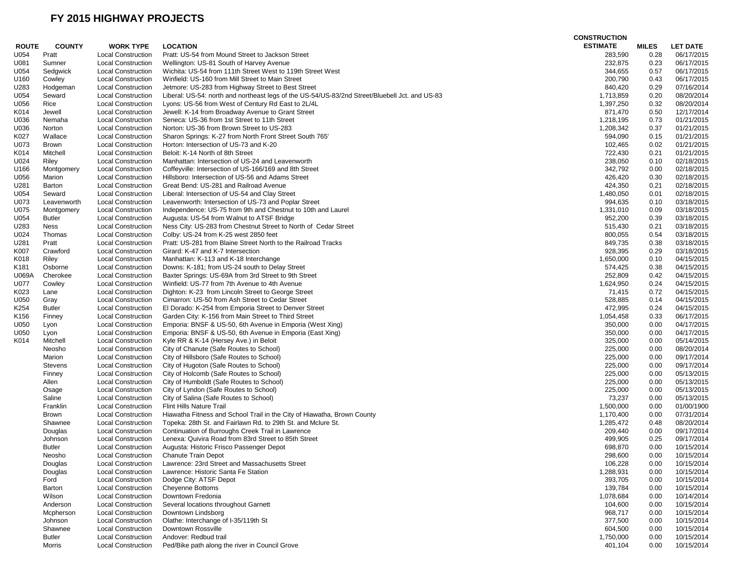|              |               |                           |                                                                                                | <b>CONSTRUCTION</b> |              |                 |
|--------------|---------------|---------------------------|------------------------------------------------------------------------------------------------|---------------------|--------------|-----------------|
| <b>ROUTE</b> | <b>COUNTY</b> | <b>WORK TYPE</b>          | <b>LOCATION</b>                                                                                | <b>ESTIMATE</b>     | <b>MILES</b> | <b>LET DATE</b> |
| U054         | Pratt         | <b>Local Construction</b> | Pratt: US-54 from Mound Street to Jackson Street                                               | 283,590             | 0.28         | 06/17/2015      |
| U081         | Sumner        | <b>Local Construction</b> | Wellington: US-81 South of Harvey Avenue                                                       | 232,875             | 0.23         | 06/17/2015      |
| U054         | Sedgwick      | <b>Local Construction</b> | Wichita: US-54 from 111th Street West to 119th Street West                                     | 344,655             | 0.57         | 06/17/2015      |
| U160         | Cowley        | <b>Local Construction</b> | Winfield: US-160 from Mill Street to Main Street                                               | 200,790             | 0.43         | 06/17/2015      |
| U283         | Hodgeman      | <b>Local Construction</b> | Jetmore: US-283 from Highway Street to Best Street                                             | 840,420             | 0.29         | 07/16/2014      |
| U054         | Seward        | <b>Local Construction</b> | Liberal: US-54: north and northeast legs of the US-54/US-83/2nd Street/Bluebell Jct. and US-83 | 1,713,859           | 0.20         | 08/20/2014      |
| U056         | Rice          | <b>Local Construction</b> | Lyons: US-56 from West of Century Rd East to 2L/4L                                             | 1,397,250           | 0.32         | 08/20/2014      |
| K014         | Jewell        | <b>Local Construction</b> | Jewell: K-14 from Broadway Avenue to Grant Street                                              | 871,470             | 0.50         | 12/17/2014      |
|              |               |                           |                                                                                                |                     |              |                 |
| U036         | Nemaha        | <b>Local Construction</b> | Seneca: US-36 from 1st Street to 11th Street<br>Norton: US-36 from Brown Street to US-283      | 1,218,195           | 0.73         | 01/21/2015      |
| U036         | Norton        | <b>Local Construction</b> |                                                                                                | 1,208,342           | 0.37         | 01/21/2015      |
| K027         | Wallace       | <b>Local Construction</b> | Sharon Springs: K-27 from North Front Street South 765'                                        | 594,090             | 0.15         | 01/21/2015      |
| U073         | Brown         | <b>Local Construction</b> | Horton: Intersection of US-73 and K-20                                                         | 102,465             | 0.02         | 01/21/2015      |
| K014         | Mitchell      | <b>Local Construction</b> | Beloit: K-14 North of 8th Street                                                               | 722,430             | 0.21         | 01/21/2015      |
| U024         | Riley         | <b>Local Construction</b> | Manhattan: Intersection of US-24 and Leavenworth                                               | 238,050             | 0.10         | 02/18/2015      |
| U166         | Montgomery    | <b>Local Construction</b> | Coffeyville: Intersection of US-166/169 and 8th Street                                         | 342,792             | 0.00         | 02/18/2015      |
| U056         | Marion        | <b>Local Construction</b> | Hillsboro: Intersection of US-56 and Adams Street                                              | 426,420             | 0.30         | 02/18/2015      |
| U281         | Barton        | <b>Local Construction</b> | Great Bend: US-281 and Railroad Avenue                                                         | 424,350             | 0.21         | 02/18/2015      |
| U054         | Seward        | <b>Local Construction</b> | Liberal: Intersection of US-54 and Clay Street                                                 | 1,480,050           | 0.01         | 02/18/2015      |
| U073         | Leavenworth   | <b>Local Construction</b> | Leavenworth: Intersection of US-73 and Poplar Street                                           | 994,635             | 0.10         | 03/18/2015      |
| U075         | Montgomery    | <b>Local Construction</b> | Independence: US-75 from 9th and Chestnut to 10th and Laurel                                   | 1,331,010           | 0.09         | 03/18/2015      |
| U054         | <b>Butler</b> | <b>Local Construction</b> | Augusta: US-54 from Walnut to ATSF Bridge                                                      | 952,200             | 0.39         | 03/18/2015      |
| U283         | Ness          | <b>Local Construction</b> | Ness City: US-283 from Chestnut Street to North of Cedar Street                                | 515,430             | 0.21         | 03/18/2015      |
| U024         | Thomas        | <b>Local Construction</b> | Colby: US-24 from K-25 west 2850 feet                                                          | 800,055             | 0.54         | 03/18/2015      |
| U281         | Pratt         | <b>Local Construction</b> | Pratt: US-281 from Blaine Street North to the Railroad Tracks                                  | 849,735             | 0.38         | 03/18/2015      |
| K007         | Crawford      | <b>Local Construction</b> | Girard: K-47 and K-7 Intersection                                                              | 928,395             | 0.29         | 03/18/2015      |
| K018         | Riley         | <b>Local Construction</b> | Manhattan: K-113 and K-18 Interchange                                                          | 1,650,000           | 0.10         | 04/15/2015      |
| K181         | Osborne       | <b>Local Construction</b> | Downs: K-181; from US-24 south to Delay Street                                                 | 574,425             | 0.38         | 04/15/2015      |
| U069A        | Cherokee      | <b>Local Construction</b> | Baxter Springs: US-69A from 3rd Street to 9th Street                                           | 252,809             | 0.42         | 04/15/2015      |
| U077         | Cowley        | <b>Local Construction</b> | Winfield: US-77 from 7th Avenue to 4th Avenue                                                  | 1,624,950           | 0.24         | 04/15/2015      |
| K023         | Lane          | <b>Local Construction</b> | Dighton: K-23 from Lincoln Street to George Street                                             | 71,415              | 0.72         | 04/15/2015      |
| U050         | Gray          | <b>Local Construction</b> | Cimarron: US-50 from Ash Street to Cedar Street                                                | 528,885             | 0.14         | 04/15/2015      |
| K254         | <b>Butler</b> | <b>Local Construction</b> | El Dorado: K-254 from Emporia Street to Denver Street                                          | 472,995             | 0.24         | 04/15/2015      |
| K156         | Finney        | <b>Local Construction</b> | Garden City: K-156 from Main Street to Third Street                                            | 1,054,458           | 0.33         | 06/17/2015      |
|              |               |                           |                                                                                                |                     |              |                 |
| U050         | Lyon          | <b>Local Construction</b> | Emporia: BNSF & US-50, 6th Avenue in Emporia (West Xing)                                       | 350,000             | 0.00         | 04/17/2015      |
| U050         | Lyon          | <b>Local Construction</b> | Emporia: BNSF & US-50, 6th Avenue in Emporia (East Xing)                                       | 350,000             | 0.00         | 04/17/2015      |
| K014         | Mitchell      | <b>Local Construction</b> | Kyle RR & K-14 (Hersey Ave.) in Beloit                                                         | 325,000             | 0.00         | 05/14/2015      |
|              | Neosho        | <b>Local Construction</b> | City of Chanute (Safe Routes to School)                                                        | 225,000             | 0.00         | 08/20/2014      |
|              | Marion        | <b>Local Construction</b> | City of Hillsboro (Safe Routes to School)                                                      | 225,000             | 0.00         | 09/17/2014      |
|              | Stevens       | <b>Local Construction</b> | City of Hugoton (Safe Routes to School)                                                        | 225,000             | 0.00         | 09/17/2014      |
|              | Finney        | <b>Local Construction</b> | City of Holcomb (Safe Routes to School)                                                        | 225,000             | 0.00         | 05/13/2015      |
|              | Allen         | <b>Local Construction</b> | City of Humboldt (Safe Routes to School)                                                       | 225,000             | 0.00         | 05/13/2015      |
|              | Osage         | <b>Local Construction</b> | City of Lyndon (Safe Routes to School)                                                         | 225,000             | 0.00         | 05/13/2015      |
|              | Saline        | <b>Local Construction</b> | City of Salina (Safe Routes to School)                                                         | 73,237              | 0.00         | 05/13/2015      |
|              | Franklin      | <b>Local Construction</b> | Flint Hills Nature Trail                                                                       | 1,500,000           | 0.00         | 01/00/1900      |
|              | <b>Brown</b>  | <b>Local Construction</b> | Hiawatha Fitness and School Trail in the City of Hiawatha, Brown County                        | 1,170,400           | 0.00         | 07/31/2014      |
|              | Shawnee       | <b>Local Construction</b> | Topeka: 28th St. and Fairlawn Rd. to 29th St. and Mclure St.                                   | 1,285,472           | 0.48         | 08/20/2014      |
|              | Douglas       | <b>Local Construction</b> | Continuation of Burroughs Creek Trail in Lawrence                                              | 209,440             | 0.00         | 09/17/2014      |
|              | Johnson       | <b>Local Construction</b> | Lenexa: Quivira Road from 83rd Street to 85th Street                                           | 499,905             | 0.25         | 09/17/2014      |
|              | <b>Butler</b> | <b>Local Construction</b> | Augusta: Historic Frisco Passenger Depot                                                       | 698,870             | 0.00         | 10/15/2014      |
|              | Neosho        | <b>Local Construction</b> | Chanute Train Depot                                                                            | 298,600             | 0.00         | 10/15/2014      |
|              | Douglas       | <b>Local Construction</b> | Lawrence: 23rd Street and Massachusetts Street                                                 | 106,228             | 0.00         | 10/15/2014      |
|              | Douglas       | <b>Local Construction</b> | Lawrence: Historic Santa Fe Station                                                            | 1,288,931           | 0.00         | 10/15/2014      |
|              | Ford          | <b>Local Construction</b> | Dodge City: ATSF Depot                                                                         | 393,705             | 0.00         | 10/15/2014      |
|              | Barton        | <b>Local Construction</b> | <b>Cheyenne Bottoms</b>                                                                        | 139,784             | 0.00         | 10/15/2014      |
|              | Wilson        | <b>Local Construction</b> | Downtown Fredonia                                                                              | 1,078,684           | 0.00         | 10/14/2014      |
|              | Anderson      | <b>Local Construction</b> | Several locations throughout Garnett                                                           | 104,600             | 0.00         | 10/15/2014      |
|              | Mcpherson     | <b>Local Construction</b> | Downtown Lindsborg                                                                             | 968,717             | 0.00         | 10/15/2014      |
|              | Johnson       | <b>Local Construction</b> | Olathe: Interchange of I-35/119th St                                                           | 377,500             | 0.00         | 10/15/2014      |
|              | Shawnee       | <b>Local Construction</b> | Downtown Rossville                                                                             | 604,500             | 0.00         | 10/15/2014      |
|              | <b>Butler</b> | <b>Local Construction</b> | Andover: Redbud trail                                                                          | 1,750,000           | 0.00         | 10/15/2014      |
|              | Morris        | <b>Local Construction</b> | Ped/Bike path along the river in Council Grove                                                 | 401,104             | 0.00         | 10/15/2014      |
|              |               |                           |                                                                                                |                     |              |                 |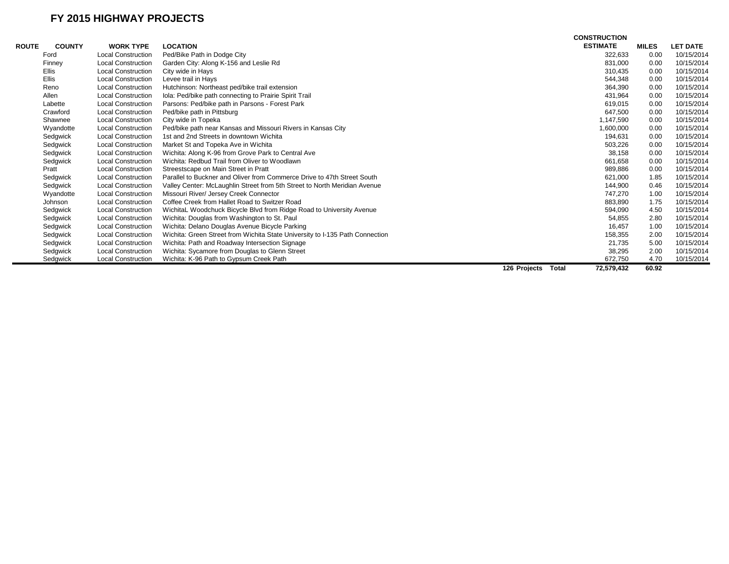|              |               |                           |                                                                              |                       | <b>CONSTRUCTION</b> |              |                 |
|--------------|---------------|---------------------------|------------------------------------------------------------------------------|-----------------------|---------------------|--------------|-----------------|
| <b>ROUTE</b> | <b>COUNTY</b> | <b>WORK TYPE</b>          | <b>LOCATION</b>                                                              |                       | <b>ESTIMATE</b>     | <b>MILES</b> | <b>LET DATE</b> |
|              | Ford          | <b>Local Construction</b> | Ped/Bike Path in Dodge City                                                  |                       | 322,633             | 0.00         | 10/15/2014      |
|              | Finney        | <b>Local Construction</b> | Garden City: Along K-156 and Leslie Rd                                       |                       | 831,000             | 0.00         | 10/15/2014      |
|              | <b>Ellis</b>  | <b>Local Construction</b> | City wide in Hays                                                            |                       | 310,435             | 0.00         | 10/15/2014      |
|              | <b>Ellis</b>  | <b>Local Construction</b> | Levee trail in Hays                                                          |                       | 544,348             | 0.00         | 10/15/2014      |
|              | Reno          | <b>Local Construction</b> | Hutchinson: Northeast ped/bike trail extension                               |                       | 364,390             | 0.00         | 10/15/2014      |
|              | Allen         | <b>Local Construction</b> | Iola: Ped/bike path connecting to Prairie Spirit Trail                       |                       | 431,964             | 0.00         | 10/15/2014      |
|              | Labette       | <b>Local Construction</b> | Parsons: Ped/bike path in Parsons - Forest Park                              |                       | 619,015             | 0.00         | 10/15/2014      |
|              | Crawford      | <b>Local Construction</b> | Ped/bike path in Pittsburg                                                   |                       | 647,500             | 0.00         | 10/15/2014      |
|              | Shawnee       | <b>Local Construction</b> | City wide in Topeka                                                          |                       | 1,147,590           | 0.00         | 10/15/2014      |
|              | Wyandotte     | <b>Local Construction</b> | Ped/bike path near Kansas and Missouri Rivers in Kansas City                 |                       | 1,600,000           | 0.00         | 10/15/2014      |
|              | Sedgwick      | <b>Local Construction</b> | 1st and 2nd Streets in downtown Wichita                                      |                       | 194,631             | 0.00         | 10/15/2014      |
|              | Sedgwick      | <b>Local Construction</b> | Market St and Topeka Ave in Wichita                                          |                       | 503,226             | 0.00         | 10/15/2014      |
|              | Sedgwick      | <b>Local Construction</b> | Wichita: Along K-96 from Grove Park to Central Ave                           |                       | 38,158              | 0.00         | 10/15/2014      |
|              | Sedgwick      | <b>Local Construction</b> | Wichita: Redbud Trail from Oliver to Woodlawn                                |                       | 661,658             | 0.00         | 10/15/2014      |
|              | Pratt         | <b>Local Construction</b> | Streestscape on Main Street in Pratt                                         |                       | 989,886             | 0.00         | 10/15/2014      |
|              | Sedgwick      | <b>Local Construction</b> | Parallel to Buckner and Oliver from Commerce Drive to 47th Street South      |                       | 621,000             | 1.85         | 10/15/2014      |
|              | Sedgwick      | <b>Local Construction</b> | Valley Center: McLaughlin Street from 5th Street to North Meridian Avenue    |                       | 144,900             | 0.46         | 10/15/2014      |
|              | Wyandotte     | <b>Local Construction</b> | Missouri River/ Jersey Creek Connector                                       |                       | 747,270             | 1.00         | 10/15/2014      |
|              | Johnson       | <b>Local Construction</b> | Coffee Creek from Hallet Road to Switzer Road                                |                       | 883,890             | 1.75         | 10/15/2014      |
|              | Sedgwick      | <b>Local Construction</b> | WichitaL Woodchuck Bicycle Blvd from Ridge Road to University Avenue         |                       | 594,090             | 4.50         | 10/15/2014      |
|              | Sedgwick      | <b>Local Construction</b> | Wichita: Douglas from Washington to St. Paul                                 |                       | 54,855              | 2.80         | 10/15/2014      |
|              | Sedgwick      | <b>Local Construction</b> | Wichita: Delano Douglas Avenue Bicycle Parking                               |                       | 16,457              | 1.00         | 10/15/2014      |
|              | Sedgwick      | <b>Local Construction</b> | Wichita: Green Street from Wichita State University to I-135 Path Connection |                       | 158,355             | 2.00         | 10/15/2014      |
|              | Sedgwick      | <b>Local Construction</b> | Wichita: Path and Roadway Intersection Signage                               |                       | 21,735              | 5.00         | 10/15/2014      |
|              | Sedgwick      | <b>Local Construction</b> | Wichita: Sycamore from Douglas to Glenn Street                               |                       | 38,295              | 2.00         | 10/15/2014      |
|              | Sedgwick      | <b>Local Construction</b> | Wichita: K-96 Path to Gypsum Creek Path                                      |                       | 672,750             | 4.70         | 10/15/2014      |
|              |               |                           |                                                                              | 126 Projects<br>Total | 72,579,432          | 60.92        |                 |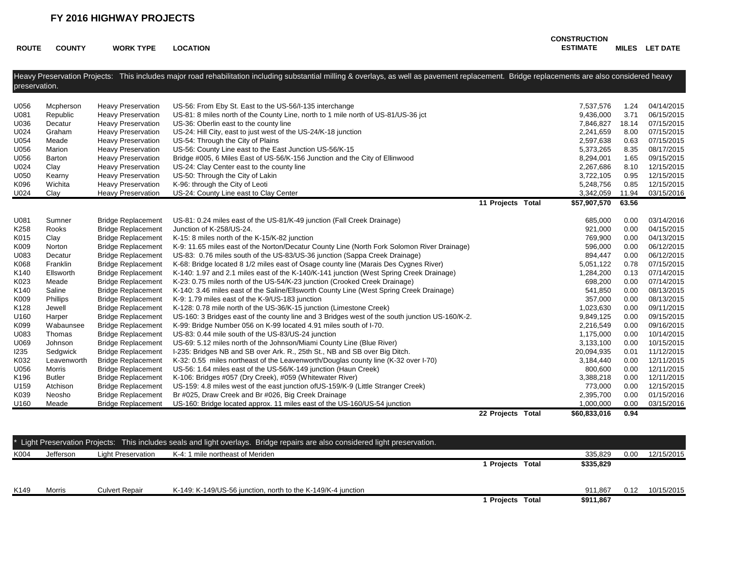**ROUTE COUNTY WORK TYPE LOCATION**

**CONSTRUCTION ESTIMATE MILES LET DATE**

| Heavy Preservation Projects: This includes major road rehabilitation including substantial milling & overlays, as well as pavement replacement. Bridge replacements are also considered heavy |               |                           |                                                                                                |                   |  |              |       |            |
|-----------------------------------------------------------------------------------------------------------------------------------------------------------------------------------------------|---------------|---------------------------|------------------------------------------------------------------------------------------------|-------------------|--|--------------|-------|------------|
| preservation.                                                                                                                                                                                 |               |                           |                                                                                                |                   |  |              |       |            |
|                                                                                                                                                                                               |               |                           |                                                                                                |                   |  |              |       |            |
| U056                                                                                                                                                                                          | Mcpherson     | <b>Heavy Preservation</b> | US-56: From Eby St. East to the US-56/I-135 interchange                                        |                   |  | 7,537,576    | 1.24  | 04/14/2015 |
| U081                                                                                                                                                                                          | Republic      | <b>Heavy Preservation</b> | US-81: 8 miles north of the County Line, north to 1 mile north of US-81/US-36 jct              |                   |  | 9,436,000    | 3.71  | 06/15/2015 |
| U036                                                                                                                                                                                          | Decatur       | <b>Heavy Preservation</b> | US-36: Oberlin east to the county line                                                         |                   |  | 7,846,827    | 18.14 | 07/15/2015 |
| U024                                                                                                                                                                                          | Graham        | <b>Heavy Preservation</b> | US-24: Hill City, east to just west of the US-24/K-18 junction                                 |                   |  | 2,241,659    | 8.00  | 07/15/2015 |
| U054                                                                                                                                                                                          | Meade         | <b>Heavy Preservation</b> | US-54: Through the City of Plains                                                              |                   |  | 2,597,638    | 0.63  | 07/15/2015 |
| U056                                                                                                                                                                                          | Marion        | <b>Heavy Preservation</b> | US-56: County Line east to the East Junction US-56/K-15                                        |                   |  | 5,373,265    | 8.35  | 08/17/2015 |
| U056                                                                                                                                                                                          | Barton        | <b>Heavy Preservation</b> | Bridge #005, 6 Miles East of US-56/K-156 Junction and the City of Ellinwood                    |                   |  | 8,294,001    | 1.65  | 09/15/2015 |
| U024                                                                                                                                                                                          | Clay          | <b>Heavy Preservation</b> | US-24: Clay Center east to the county line                                                     |                   |  | 2,267,686    | 8.10  | 12/15/2015 |
| U050                                                                                                                                                                                          | Kearny        | <b>Heavy Preservation</b> | US-50: Through the City of Lakin                                                               |                   |  | 3,722,105    | 0.95  | 12/15/2015 |
| K096                                                                                                                                                                                          | Wichita       | <b>Heavy Preservation</b> | K-96: through the City of Leoti                                                                |                   |  | 5,248,756    | 0.85  | 12/15/2015 |
| U024                                                                                                                                                                                          | Clay          | <b>Heavy Preservation</b> | US-24: County Line east to Clay Center                                                         |                   |  | 3,342,059    | 11.94 | 03/15/2016 |
|                                                                                                                                                                                               |               |                           |                                                                                                | 11 Projects Total |  | \$57,907,570 | 63.56 |            |
|                                                                                                                                                                                               |               |                           |                                                                                                |                   |  |              |       |            |
| U081                                                                                                                                                                                          | Sumner        | <b>Bridge Replacement</b> | US-81: 0.24 miles east of the US-81/K-49 junction (Fall Creek Drainage)                        |                   |  | 685,000      | 0.00  | 03/14/2016 |
| K258                                                                                                                                                                                          | Rooks         | <b>Bridge Replacement</b> | Junction of K-258/US-24.                                                                       |                   |  | 921,000      | 0.00  | 04/15/2015 |
| K015                                                                                                                                                                                          | Clay          | <b>Bridge Replacement</b> | K-15: 8 miles north of the K-15/K-82 junction                                                  |                   |  | 769,900      | 0.00  | 04/13/2015 |
| K009                                                                                                                                                                                          | Norton        | <b>Bridge Replacement</b> | K-9: 11.65 miles east of the Norton/Decatur County Line (North Fork Solomon River Drainage)    |                   |  | 596,000      | 0.00  | 06/12/2015 |
| U083                                                                                                                                                                                          | Decatur       | <b>Bridge Replacement</b> | US-83: 0.76 miles south of the US-83/US-36 junction (Sappa Creek Drainage)                     |                   |  | 894,447      | 0.00  | 06/12/2015 |
| K068                                                                                                                                                                                          | Franklin      | <b>Bridge Replacement</b> | K-68: Bridge located 8 1/2 miles east of Osage county line (Marais Des Cygnes River)           |                   |  | 5,051,122    | 0.78  | 07/15/2015 |
| K140                                                                                                                                                                                          | Ellsworth     | <b>Bridge Replacement</b> | K-140: 1.97 and 2.1 miles east of the K-140/K-141 junction (West Spring Creek Drainage)        |                   |  | 1,284,200    | 0.13  | 07/14/2015 |
| K023                                                                                                                                                                                          | Meade         | <b>Bridge Replacement</b> | K-23: 0.75 miles north of the US-54/K-23 junction (Crooked Creek Drainage)                     |                   |  | 698,200      | 0.00  | 07/14/2015 |
| K140                                                                                                                                                                                          | Saline        | <b>Bridge Replacement</b> | K-140: 3.46 miles east of the Saline/Ellsworth County Line (West Spring Creek Drainage)        |                   |  | 541,850      | 0.00  | 08/13/2015 |
| K009                                                                                                                                                                                          | Phillips      | <b>Bridge Replacement</b> | K-9: 1.79 miles east of the K-9/US-183 junction                                                |                   |  | 357,000      | 0.00  | 08/13/2015 |
| K128                                                                                                                                                                                          | Jewell        | <b>Bridge Replacement</b> | K-128: 0.78 mile north of the US-36/K-15 junction (Limestone Creek)                            |                   |  | 1,023,630    | 0.00  | 09/11/2015 |
| U160                                                                                                                                                                                          | Harper        | <b>Bridge Replacement</b> | US-160: 3 Bridges east of the county line and 3 Bridges west of the south junction US-160/K-2. |                   |  | 9,849,125    | 0.00  | 09/15/2015 |
| K099                                                                                                                                                                                          | Wabaunsee     | <b>Bridge Replacement</b> | K-99: Bridge Number 056 on K-99 located 4.91 miles south of I-70.                              |                   |  | 2,216,549    | 0.00  | 09/16/2015 |
| U083                                                                                                                                                                                          | Thomas        | <b>Bridge Replacement</b> | US-83: 0.44 mile south of the US-83/US-24 junction                                             |                   |  | 1,175,000    | 0.00  | 10/14/2015 |
| U069                                                                                                                                                                                          | Johnson       | <b>Bridge Replacement</b> | US-69: 5.12 miles north of the Johnson/Miami County Line (Blue River)                          |                   |  | 3,133,100    | 0.00  | 10/15/2015 |
| 1235                                                                                                                                                                                          | Sedgwick      | <b>Bridge Replacement</b> | I-235: Bridges NB and SB over Ark. R., 25th St., NB and SB over Big Ditch.                     |                   |  | 20,094,935   | 0.01  | 11/12/2015 |
| K032                                                                                                                                                                                          | Leavenworth   | <b>Bridge Replacement</b> | K-32: 0.55 miles northeast of the Leavenworth/Douglas county line (K-32 over I-70)             |                   |  | 3,184,440    | 0.00  | 12/11/2015 |
| U056                                                                                                                                                                                          | Morris        | <b>Bridge Replacement</b> | US-56: 1.64 miles east of the US-56/K-149 junction (Haun Creek)                                |                   |  | 800,600      | 0.00  | 12/11/2015 |
| K196                                                                                                                                                                                          | <b>Butler</b> | <b>Bridge Replacement</b> | K-106: Bridges #057 (Dry Creek), #059 (Whitewater River)                                       |                   |  | 3,388,218    | 0.00  | 12/11/2015 |
| U159                                                                                                                                                                                          | Atchison      | <b>Bridge Replacement</b> | US-159: 4.8 miles west of the east junction of US-159/K-9 (Little Stranger Creek)              |                   |  | 773,000      | 0.00  | 12/15/2015 |
| K039                                                                                                                                                                                          | Neosho        | <b>Bridge Replacement</b> | Br #025, Draw Creek and Br #026, Big Creek Drainage                                            |                   |  | 2,395,700    | 0.00  | 01/15/2016 |
| U160                                                                                                                                                                                          | Meade         | <b>Bridge Replacement</b> | US-160: Bridge located approx. 11 miles east of the US-160/US-54 junction                      |                   |  | 1,000,000    | 0.00  | 03/15/2016 |
|                                                                                                                                                                                               |               |                           |                                                                                                | 22 Projects Total |  | \$60,833,016 | 0.94  |            |

|      |           |                           | * Light Preservation Projects: This includes seals and light overlays. Bridge repairs are also considered light preservation. |                       |           |      |            |
|------|-----------|---------------------------|-------------------------------------------------------------------------------------------------------------------------------|-----------------------|-----------|------|------------|
| K004 | Jefferson | <b>Light Preservation</b> | K-4: 1 mile northeast of Meriden                                                                                              |                       | 335,829   | 0.00 | 12/15/2015 |
|      |           |                           |                                                                                                                               | l Proiects Total      | \$335,829 |      |            |
|      |           |                           |                                                                                                                               |                       |           |      |            |
| K149 | Morris    | <b>Culvert Repair</b>     | K-149: K-149/US-56 junction, north to the K-149/K-4 junction                                                                  |                       | 911.867   | 0.12 | 10/15/2015 |
|      |           |                           |                                                                                                                               | <b>Projects Total</b> | \$911,867 |      |            |